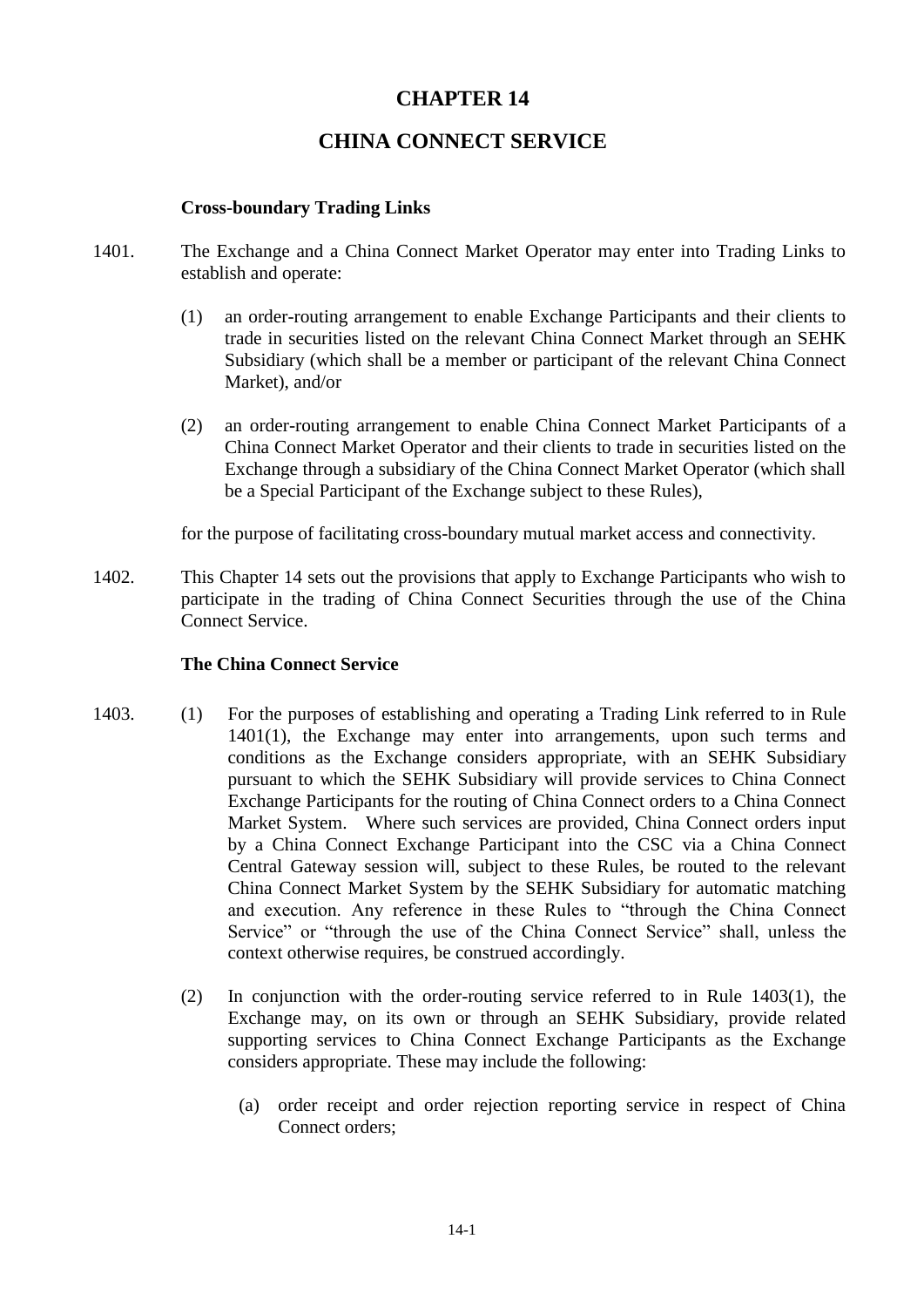# **CHAPTER 14**

# **CHINA CONNECT SERVICE**

## **Cross-boundary Trading Links**

- 1401. The Exchange and a China Connect Market Operator may enter into Trading Links to establish and operate:
	- (1) an order-routing arrangement to enable Exchange Participants and their clients to trade in securities listed on the relevant China Connect Market through an SEHK Subsidiary (which shall be a member or participant of the relevant China Connect Market), and/or
	- (2) an order-routing arrangement to enable China Connect Market Participants of a China Connect Market Operator and their clients to trade in securities listed on the Exchange through a subsidiary of the China Connect Market Operator (which shall be a Special Participant of the Exchange subject to these Rules),

for the purpose of facilitating cross-boundary mutual market access and connectivity.

1402. This Chapter 14 sets out the provisions that apply to Exchange Participants who wish to participate in the trading of China Connect Securities through the use of the China Connect Service.

#### **The China Connect Service**

- 1403. (1) For the purposes of establishing and operating a Trading Link referred to in Rule 1401(1), the Exchange may enter into arrangements, upon such terms and conditions as the Exchange considers appropriate, with an SEHK Subsidiary pursuant to which the SEHK Subsidiary will provide services to China Connect Exchange Participants for the routing of China Connect orders to a China Connect Market System. Where such services are provided, China Connect orders input by a China Connect Exchange Participant into the CSC via a China Connect Central Gateway session will, subject to these Rules, be routed to the relevant China Connect Market System by the SEHK Subsidiary for automatic matching and execution. Any reference in these Rules to "through the China Connect Service" or "through the use of the China Connect Service" shall, unless the context otherwise requires, be construed accordingly.
	- (2) In conjunction with the order-routing service referred to in Rule 1403(1), the Exchange may, on its own or through an SEHK Subsidiary, provide related supporting services to China Connect Exchange Participants as the Exchange considers appropriate. These may include the following:
		- (a) order receipt and order rejection reporting service in respect of China Connect orders;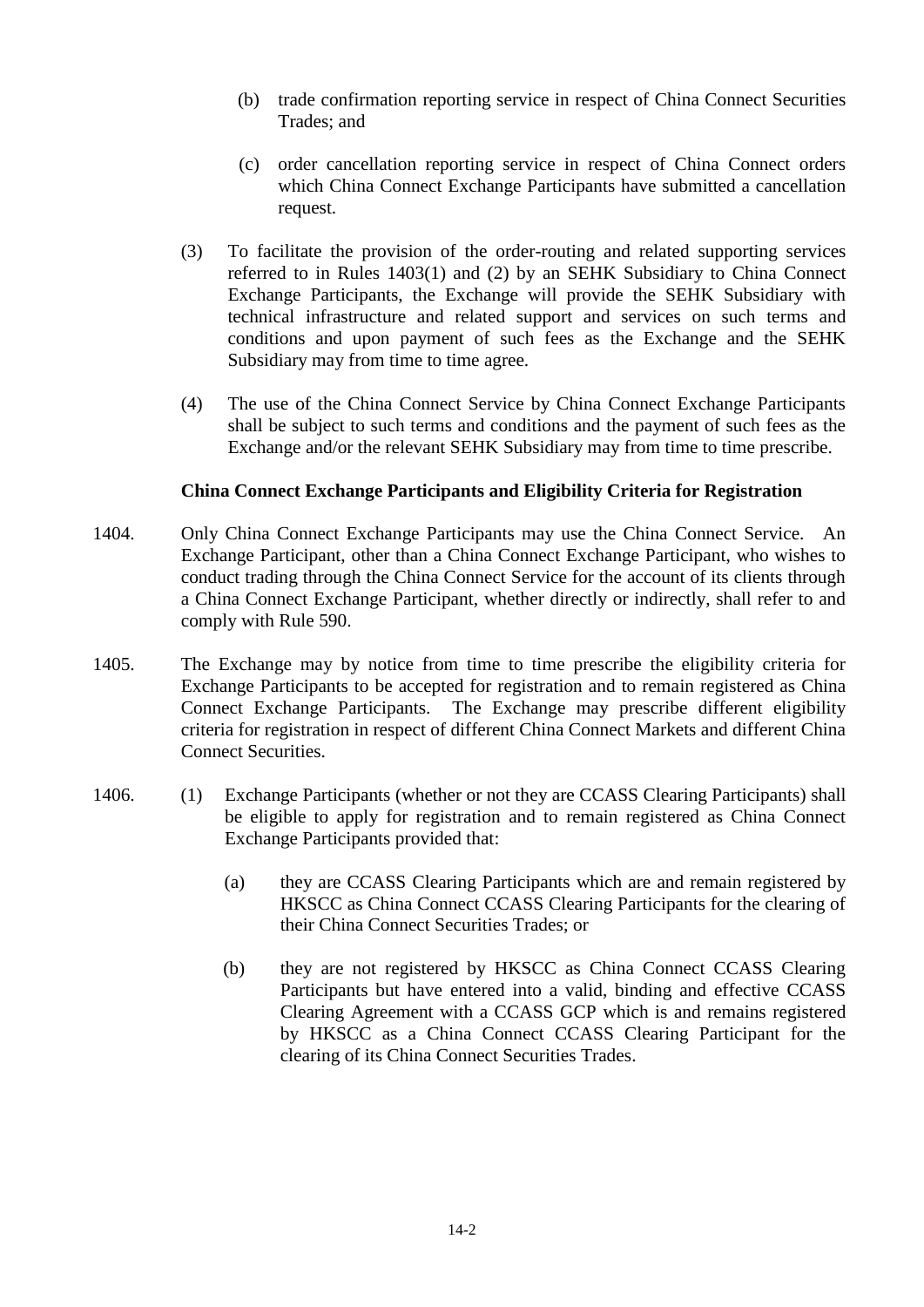- (b) trade confirmation reporting service in respect of China Connect Securities Trades; and
- (c) order cancellation reporting service in respect of China Connect orders which China Connect Exchange Participants have submitted a cancellation request.
- (3) To facilitate the provision of the order-routing and related supporting services referred to in Rules 1403(1) and (2) by an SEHK Subsidiary to China Connect Exchange Participants, the Exchange will provide the SEHK Subsidiary with technical infrastructure and related support and services on such terms and conditions and upon payment of such fees as the Exchange and the SEHK Subsidiary may from time to time agree.
- (4) The use of the China Connect Service by China Connect Exchange Participants shall be subject to such terms and conditions and the payment of such fees as the Exchange and/or the relevant SEHK Subsidiary may from time to time prescribe.

## **China Connect Exchange Participants and Eligibility Criteria for Registration**

- 1404. Only China Connect Exchange Participants may use the China Connect Service. An Exchange Participant, other than a China Connect Exchange Participant, who wishes to conduct trading through the China Connect Service for the account of its clients through a China Connect Exchange Participant, whether directly or indirectly, shall refer to and comply with Rule 590.
- 1405. The Exchange may by notice from time to time prescribe the eligibility criteria for Exchange Participants to be accepted for registration and to remain registered as China Connect Exchange Participants. The Exchange may prescribe different eligibility criteria for registration in respect of different China Connect Markets and different China Connect Securities.
- 1406. (1) Exchange Participants (whether or not they are CCASS Clearing Participants) shall be eligible to apply for registration and to remain registered as China Connect Exchange Participants provided that:
	- (a) they are CCASS Clearing Participants which are and remain registered by HKSCC as China Connect CCASS Clearing Participants for the clearing of their China Connect Securities Trades; or
	- (b) they are not registered by HKSCC as China Connect CCASS Clearing Participants but have entered into a valid, binding and effective CCASS Clearing Agreement with a CCASS GCP which is and remains registered by HKSCC as a China Connect CCASS Clearing Participant for the clearing of its China Connect Securities Trades.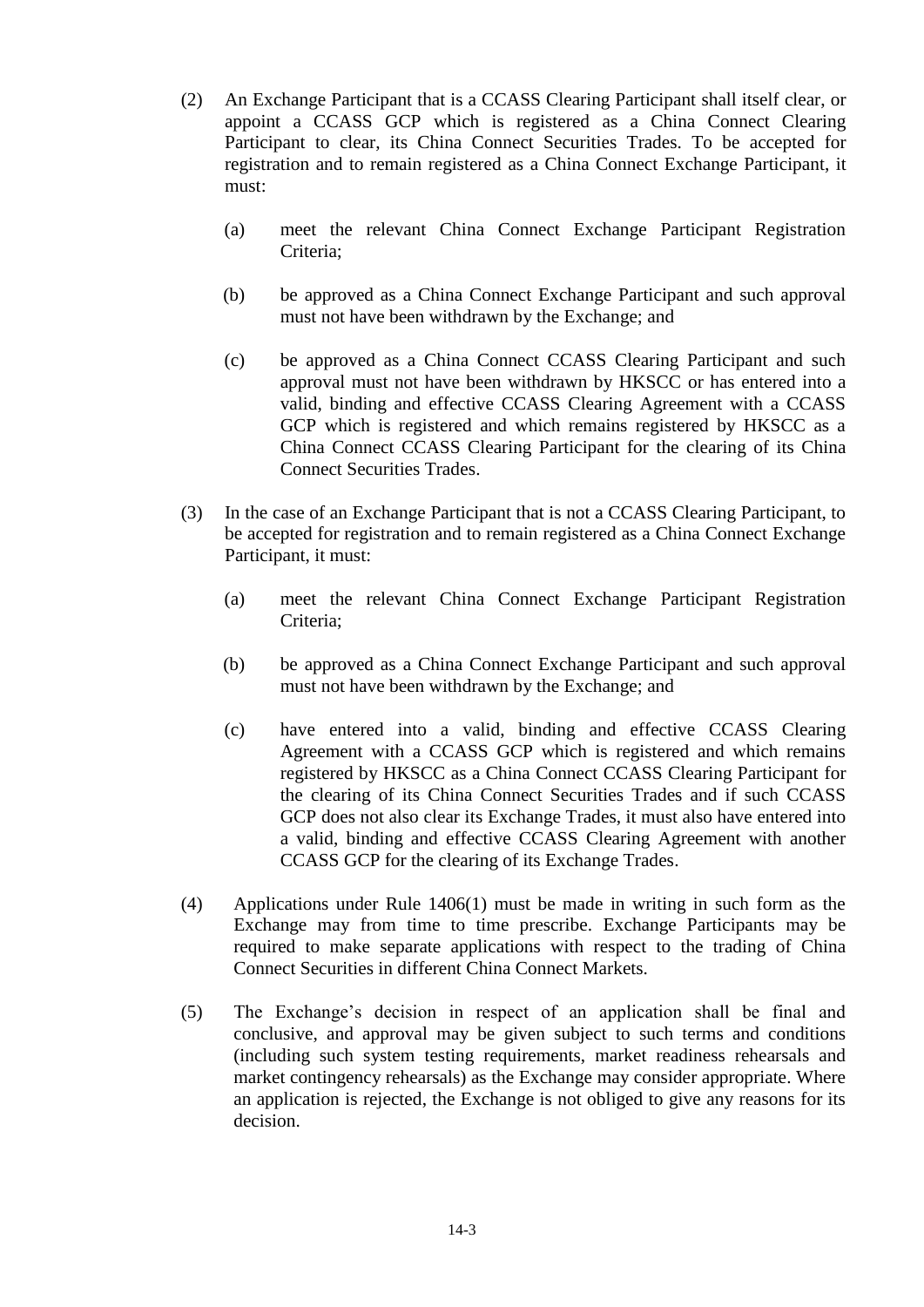- (2) Participant to clear, its China Connect Securities Trades. To be accepted for registration and to remain registered as a China Connect Exchange Participant, it ) must: An Exchange Participant that is a CCASS Clearing Participant shall itself clear, or appoint a CCASS GCP which is registered as a China Connect Clearing
	- (a) meet the relevant China Connect Exchange Participant Registration Criteria;
	- (b) be approved as a China Connect Exchange Participant and such approval must not have been withdrawn by the Exchange; and
	- (c) be approved as a China Connect CCASS Clearing Participant and such approval must not have been withdrawn by HKSCC or has entered into a valid, binding and effective CCASS Clearing Agreement with a CCASS GCP which is registered and which remains registered by HKSCC as a China Connect CCASS Clearing Participant for the clearing of its China Connect Securities Trades.
- (3) In the case of an Exchange Participant that is not a CCASS Clearing Participant, to be accepted for registration and to remain registered as a China Connect Exchange Participant, it must:
	- (a) meet the relevant China Connect Exchange Participant Registration Criteria;
	- (b) be approved as a China Connect Exchange Participant and such approval must not have been withdrawn by the Exchange; and
	- (c) have entered into a valid, binding and effective CCASS Clearing Agreement with a CCASS GCP which is registered and which remains registered by HKSCC as a China Connect CCASS Clearing Participant for the clearing of its China Connect Securities Trades and if such CCASS GCP does not also clear its Exchange Trades, it must also have entered into a valid, binding and effective CCASS Clearing Agreement with another CCASS GCP for the clearing of its Exchange Trades.
- (4) Applications under Rule 1406(1) must be made in writing in such form as the Exchange may from time to time prescribe. Exchange Participants may be required to make separate applications with respect to the trading of China Connect Securities in different China Connect Markets.
- (5) The Exchange's decision in respect of an application shall be final and conclusive, and approval may be given subject to such terms and conditions (including such system testing requirements, market readiness rehearsals and market contingency rehearsals) as the Exchange may consider appropriate. Where an application is rejected, the Exchange is not obliged to give any reasons for its decision.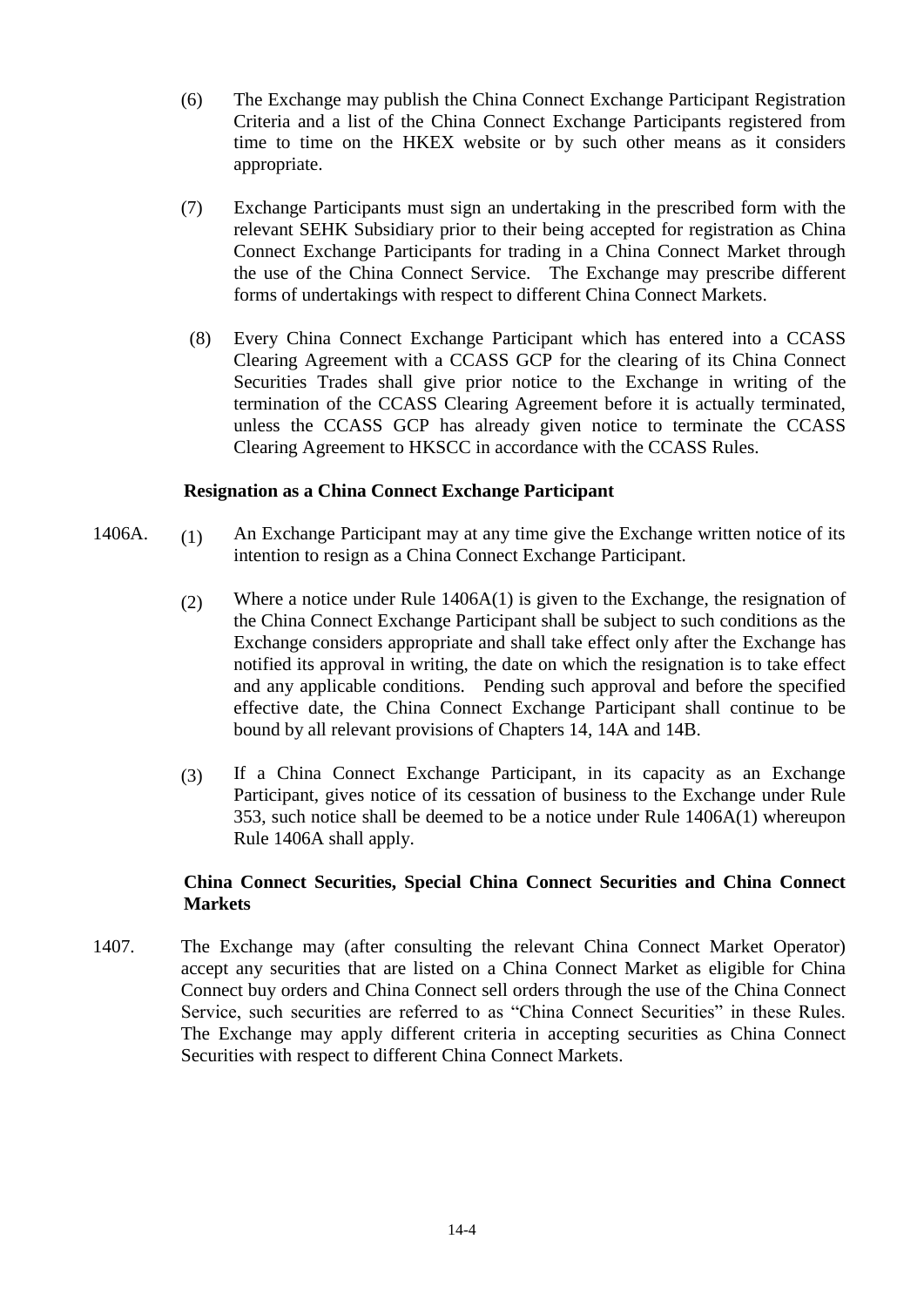- (6) The Exchange may publish the China Connect Exchange Participant Registration Criteria and a list of the China Connect Exchange Participants registered from time to time on the HKEX website or by such other means as it considers appropriate.
- (7) Exchange Participants must sign an undertaking in the prescribed form with the relevant SEHK Subsidiary prior to their being accepted for registration as China Connect Exchange Participants for trading in a China Connect Market through the use of the China Connect Service. The Exchange may prescribe different forms of undertakings with respect to different China Connect Markets.
	- (8) Every China Connect Exchange Participant which has entered into a CCASS Clearing Agreement with a CCASS GCP for the clearing of its China Connect Securities Trades shall give prior notice to the Exchange in writing of the termination of the CCASS Clearing Agreement before it is actually terminated, unless the CCASS GCP has already given notice to terminate the CCASS Clearing Agreement to HKSCC in accordance with the CCASS Rules.

#### **Resignation as a China Connect Exchange Participant**

- 1406A. (1) An Exchange Participant may at any time give the Exchange written notice of its intention to resign as a China Connect Exchange Participant.
	- (2) Where a notice under Rule 1406A(1) is given to the Exchange, the resignation of the China Connect Exchange Participant shall be subject to such conditions as the Exchange considers appropriate and shall take effect only after the Exchange has notified its approval in writing, the date on which the resignation is to take effect and any applicable conditions. Pending such approval and before the specified effective date, the China Connect Exchange Participant shall continue to be bound by all relevant provisions of Chapters 14, 14A and 14B.
	- (3) If a China Connect Exchange Participant, in its capacity as an Exchange Participant, gives notice of its cessation of business to the Exchange under Rule 353, such notice shall be deemed to be a notice under Rule 1406A(1) whereupon Rule 1406A shall apply.

# **China Connect Securities, Special China Connect Securities and China Connect Markets**

1407. The Exchange may (after consulting the relevant China Connect Market Operator) accept any securities that are listed on a China Connect Market as eligible for China Connect buy orders and China Connect sell orders through the use of the China Connect Service, such securities are referred to as "China Connect Securities" in these Rules. The Exchange may apply different criteria in accepting securities as China Connect Securities with respect to different China Connect Markets.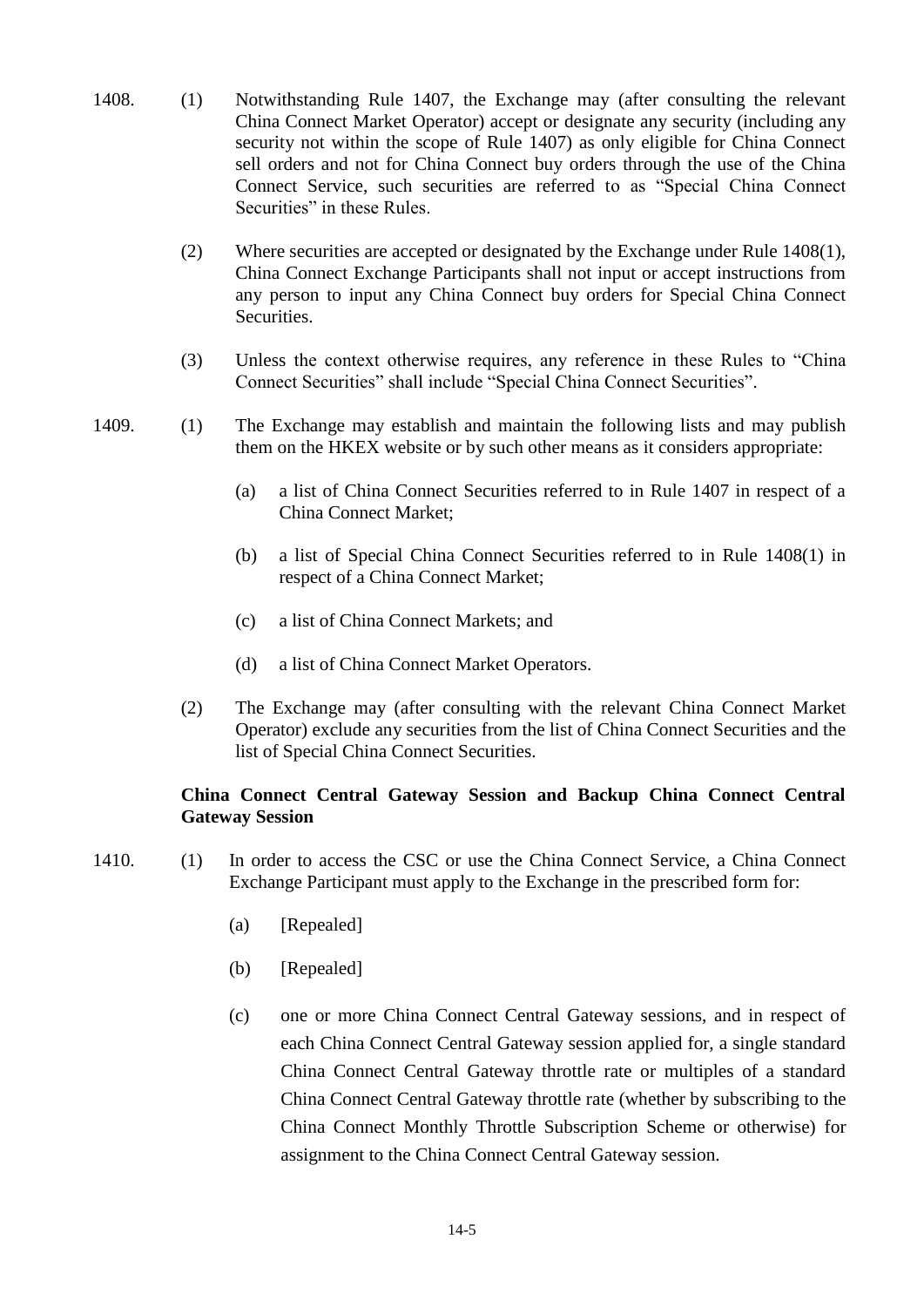- 1408. (1) Notwithstanding Rule 1407, the Exchange may (after consulting the relevant China Connect Market Operator) accept or designate any security (including any security not within the scope of Rule 1407) as only eligible for China Connect sell orders and not for China Connect buy orders through the use of the China Connect Service, such securities are referred to as "Special China Connect Securities" in these Rules.
	- (2) Where securities are accepted or designated by the Exchange under Rule 1408(1), China Connect Exchange Participants shall not input or accept instructions from any person to input any China Connect buy orders for Special China Connect Securities.
	- (3) Unless the context otherwise requires, any reference in these Rules to "China Connect Securities" shall include "Special China Connect Securities".
- 1409. (1) The Exchange may establish and maintain the following lists and may publish them on the HKEX website or by such other means as it considers appropriate:
	- (a) a list of China Connect Securities referred to in Rule 1407 in respect of a China Connect Market;
	- (b) a list of Special China Connect Securities referred to in Rule 1408(1) in respect of a China Connect Market;
	- (c) a list of China Connect Markets; and
	- (d) a list of China Connect Market Operators.
	- (2) The Exchange may (after consulting with the relevant China Connect Market Operator) exclude any securities from the list of China Connect Securities and the list of Special China Connect Securities.

# **China Connect Central Gateway Session and Backup China Connect Central Gateway Session**

- 1410. (1) In order to access the CSC or use the China Connect Service, a China Connect Exchange Participant must apply to the Exchange in the prescribed form for:
	- (a) [Repealed]
	- (b) [Repealed]
	- (c) one or more China Connect Central Gateway sessions, and in respect of each China Connect Central Gateway session applied for, a single standard China Connect Central Gateway throttle rate or multiples of a standard China Connect Central Gateway throttle rate (whether by subscribing to the China Connect Monthly Throttle Subscription Scheme or otherwise) for assignment to the China Connect Central Gateway session.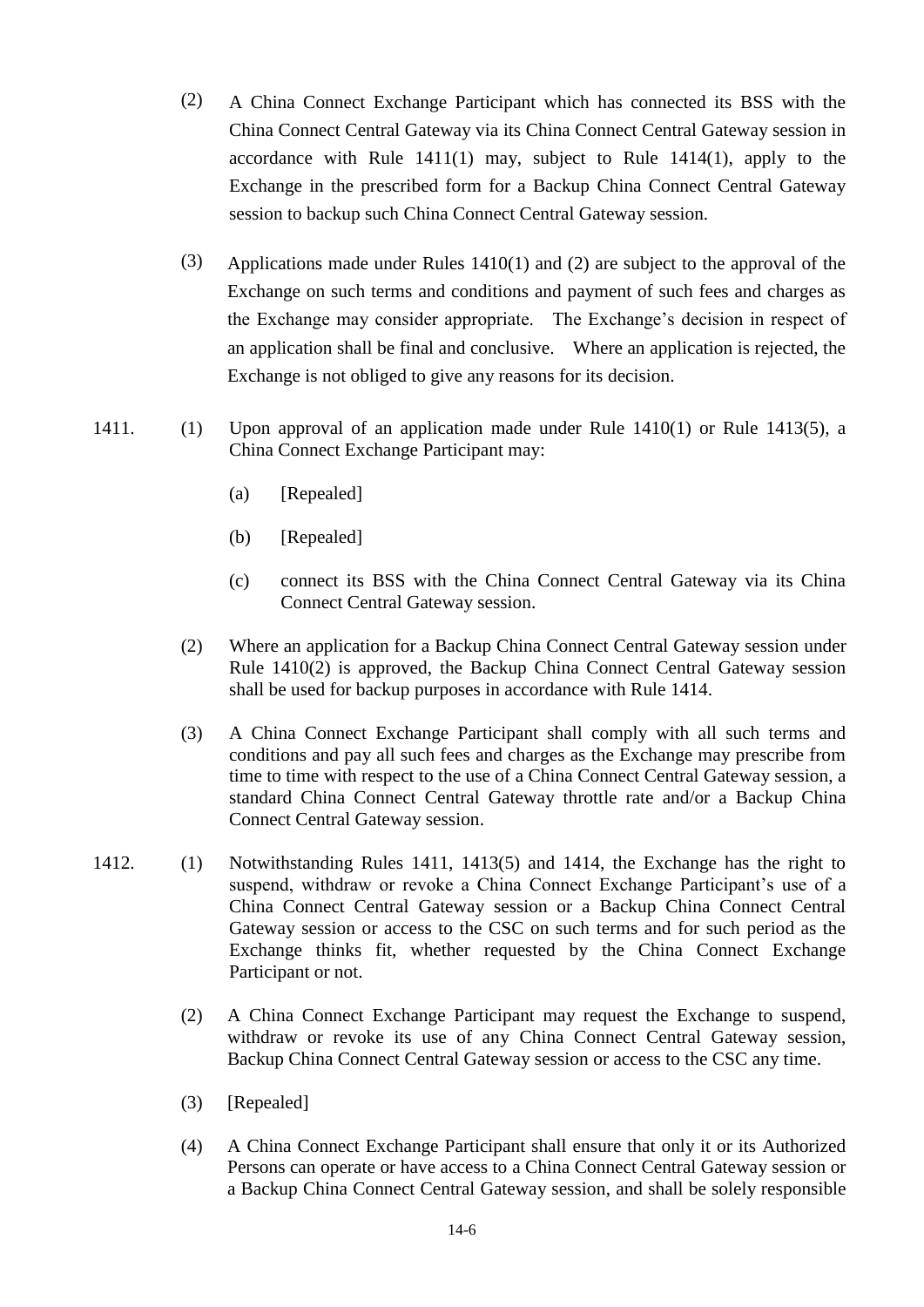- (2) A China Connect Exchange Participant which has connected its BSS with the China Connect Central Gateway via its China Connect Central Gateway session in accordance with Rule 1411(1) may, subject to Rule 1414(1), apply to the Exchange in the prescribed form for a Backup China Connect Central Gateway session to backup such China Connect Central Gateway session.
- (3) Applications made under Rules 1410(1) and (2) are subject to the approval of the Exchange on such terms and conditions and payment of such fees and charges as the Exchange may consider appropriate. The Exchange's decision in respect of an application shall be final and conclusive. Where an application is rejected, the Exchange is not obliged to give any reasons for its decision.
- 1411. (1) Upon approval of an application made under Rule 1410(1) or Rule 1413(5), a China Connect Exchange Participant may:
	- (a) [Repealed]
	- (b) [Repealed]
	- (c) connect its BSS with the China Connect Central Gateway via its China Connect Central Gateway session.
	- (2) Where an application for a Backup China Connect Central Gateway session under Rule 1410(2) is approved, the Backup China Connect Central Gateway session shall be used for backup purposes in accordance with Rule 1414.
	- (3) A China Connect Exchange Participant shall comply with all such terms and conditions and pay all such fees and charges as the Exchange may prescribe from time to time with respect to the use of a China Connect Central Gateway session, a standard China Connect Central Gateway throttle rate and/or a Backup China Connect Central Gateway session.
- 1412. (1) Notwithstanding Rules 1411, 1413(5) and 1414, the Exchange has the right to suspend, withdraw or revoke a China Connect Exchange Participant's use of a China Connect Central Gateway session or a Backup China Connect Central Gateway session or access to the CSC on such terms and for such period as the Exchange thinks fit, whether requested by the China Connect Exchange Participant or not.
	- (2) A China Connect Exchange Participant may request the Exchange to suspend, withdraw or revoke its use of any China Connect Central Gateway session, Backup China Connect Central Gateway session or access to the CSC any time.
	- (3) [Repealed]
	- (4) A China Connect Exchange Participant shall ensure that only it or its Authorized Persons can operate or have access to a China Connect Central Gateway session or a Backup China Connect Central Gateway session, and shall be solely responsible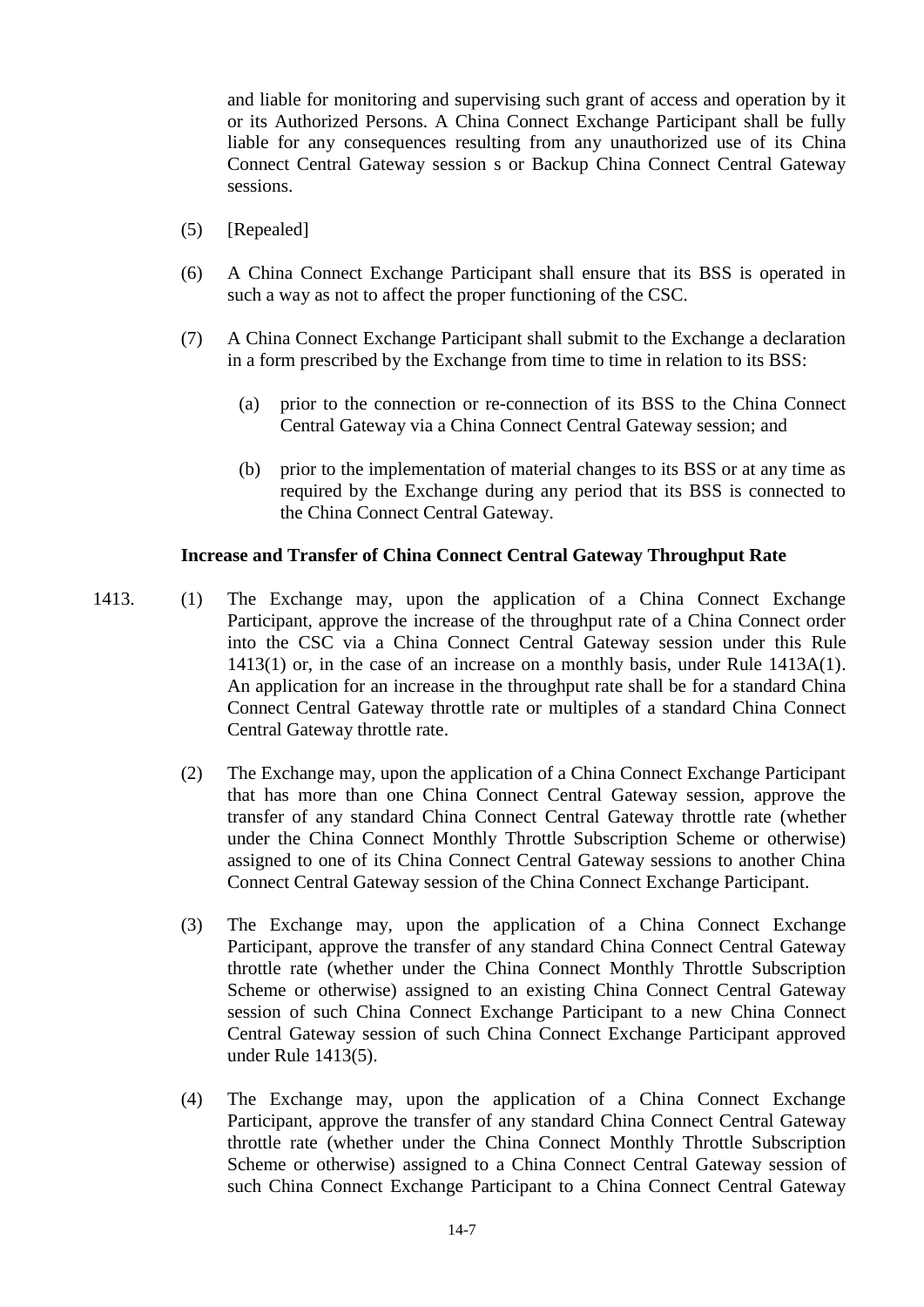and liable for monitoring and supervising such grant of access and operation by it or its Authorized Persons. A China Connect Exchange Participant shall be fully liable for any consequences resulting from any unauthorized use of its China Connect Central Gateway session s or Backup China Connect Central Gateway sessions.

- (5) [Repealed]
- (6) A China Connect Exchange Participant shall ensure that its BSS is operated in such a way as not to affect the proper functioning of the CSC.
- (7) A China Connect Exchange Participant shall submit to the Exchange a declaration in a form prescribed by the Exchange from time to time in relation to its BSS:
	- (a) prior to the connection or re-connection of its BSS to the China Connect Central Gateway via a China Connect Central Gateway session; and
	- (b) prior to the implementation of material changes to its BSS or at any time as required by the Exchange during any period that its BSS is connected to the China Connect Central Gateway.

#### **Increase and Transfer of China Connect Central Gateway Throughput Rate**

- 1413. (1) The Exchange may, upon the application of a China Connect Exchange Participant, approve the increase of the throughput rate of a China Connect order into the CSC via a China Connect Central Gateway session under this Rule 1413(1) or, in the case of an increase on a monthly basis, under Rule 1413A(1). An application for an increase in the throughput rate shall be for a standard China Connect Central Gateway throttle rate or multiples of a standard China Connect Central Gateway throttle rate.
	- (2) The Exchange may, upon the application of a China Connect Exchange Participant that has more than one China Connect Central Gateway session, approve the transfer of any standard China Connect Central Gateway throttle rate (whether under the China Connect Monthly Throttle Subscription Scheme or otherwise) assigned to one of its China Connect Central Gateway sessions to another China Connect Central Gateway session of the China Connect Exchange Participant.
	- (3) The Exchange may, upon the application of a China Connect Exchange Participant, approve the transfer of any standard China Connect Central Gateway throttle rate (whether under the China Connect Monthly Throttle Subscription Scheme or otherwise) assigned to an existing China Connect Central Gateway session of such China Connect Exchange Participant to a new China Connect Central Gateway session of such China Connect Exchange Participant approved under Rule 1413(5).
	- (4) The Exchange may, upon the application of a China Connect Exchange Participant, approve the transfer of any standard China Connect Central Gateway throttle rate (whether under the China Connect Monthly Throttle Subscription Scheme or otherwise) assigned to a China Connect Central Gateway session of such China Connect Exchange Participant to a China Connect Central Gateway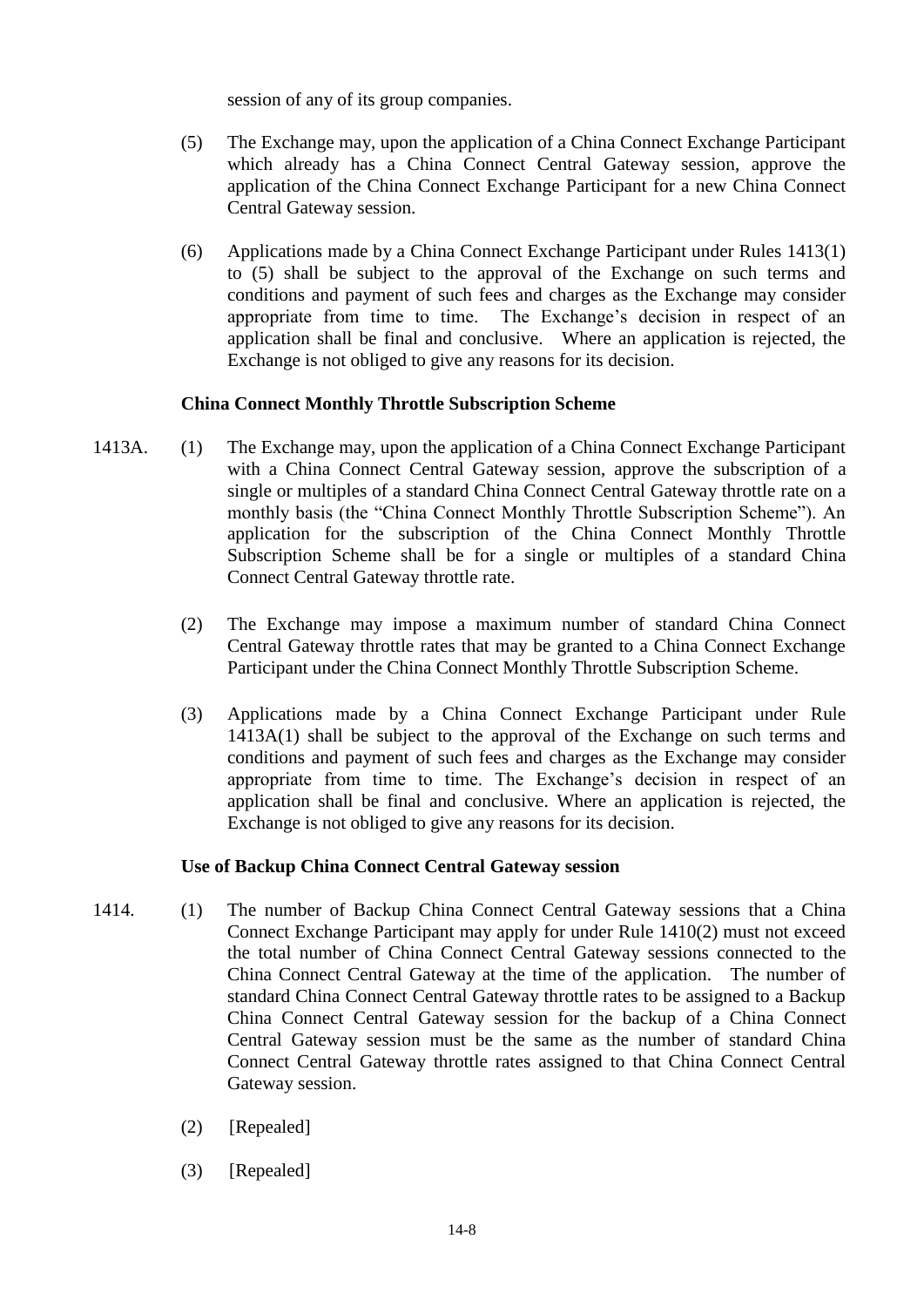session of any of its group companies.

- (5) The Exchange may, upon the application of a China Connect Exchange Participant which already has a China Connect Central Gateway session, approve the application of the China Connect Exchange Participant for a new China Connect Central Gateway session.
- (6) Applications made by a China Connect Exchange Participant under Rules 1413(1) to (5) shall be subject to the approval of the Exchange on such terms and conditions and payment of such fees and charges as the Exchange may consider appropriate from time to time. The Exchange's decision in respect of an application shall be final and conclusive. Where an application is rejected, the Exchange is not obliged to give any reasons for its decision.

# **China Connect Monthly Throttle Subscription Scheme**

- 1413A. (1) The Exchange may, upon the application of a China Connect Exchange Participant with a China Connect Central Gateway session, approve the subscription of a single or multiples of a standard China Connect Central Gateway throttle rate on a monthly basis (the "China Connect Monthly Throttle Subscription Scheme"). An application for the subscription of the China Connect Monthly Throttle Subscription Scheme shall be for a single or multiples of a standard China Connect Central Gateway throttle rate.
	- (2) The Exchange may impose a maximum number of standard China Connect Central Gateway throttle rates that may be granted to a China Connect Exchange Participant under the China Connect Monthly Throttle Subscription Scheme.
	- (3) Applications made by a China Connect Exchange Participant under Rule 1413A(1) shall be subject to the approval of the Exchange on such terms and conditions and payment of such fees and charges as the Exchange may consider appropriate from time to time. The Exchange's decision in respect of an application shall be final and conclusive. Where an application is rejected, the Exchange is not obliged to give any reasons for its decision.

# **Use of Backup China Connect Central Gateway session**

- 1414. (1) The number of Backup China Connect Central Gateway sessions that a China Connect Exchange Participant may apply for under Rule 1410(2) must not exceed the total number of China Connect Central Gateway sessions connected to the China Connect Central Gateway at the time of the application. The number of standard China Connect Central Gateway throttle rates to be assigned to a Backup China Connect Central Gateway session for the backup of a China Connect Central Gateway session must be the same as the number of standard China Connect Central Gateway throttle rates assigned to that China Connect Central Gateway session.
	- (2) [Repealed]
	- (3) [Repealed]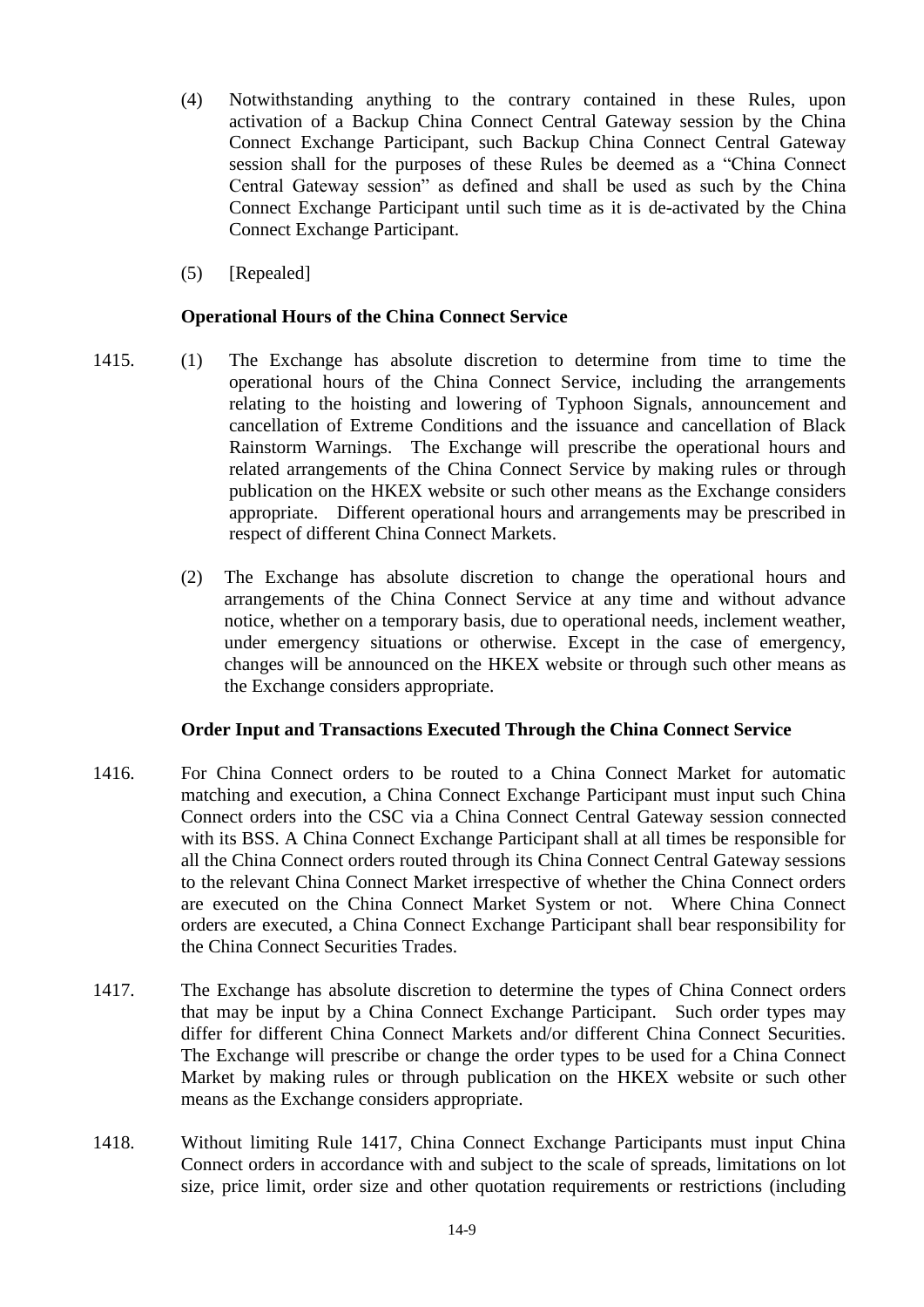- (4) Notwithstanding anything to the contrary contained in these Rules, upon activation of a Backup China Connect Central Gateway session by the China Connect Exchange Participant, such Backup China Connect Central Gateway session shall for the purposes of these Rules be deemed as a "China Connect Central Gateway session" as defined and shall be used as such by the China Connect Exchange Participant until such time as it is de-activated by the China Connect Exchange Participant.
- (5) [Repealed]

#### **Operational Hours of the China Connect Service**

- 1415. (1) The Exchange has absolute discretion to determine from time to time the operational hours of the China Connect Service, including the arrangements relating to the hoisting and lowering of Typhoon Signals, announcement and cancellation of Extreme Conditions and the issuance and cancellation of Black Rainstorm Warnings. The Exchange will prescribe the operational hours and related arrangements of the China Connect Service by making rules or through publication on the HKEX website or such other means as the Exchange considers appropriate. Different operational hours and arrangements may be prescribed in respect of different China Connect Markets.
	- (2) The Exchange has absolute discretion to change the operational hours and arrangements of the China Connect Service at any time and without advance notice, whether on a temporary basis, due to operational needs, inclement weather, under emergency situations or otherwise. Except in the case of emergency, changes will be announced on the HKEX website or through such other means as the Exchange considers appropriate.

#### **Order Input and Transactions Executed Through the China Connect Service**

- 1416. For China Connect orders to be routed to a China Connect Market for automatic matching and execution, a China Connect Exchange Participant must input such China Connect orders into the CSC via a China Connect Central Gateway session connected with its BSS. A China Connect Exchange Participant shall at all times be responsible for all the China Connect orders routed through its China Connect Central Gateway sessions to the relevant China Connect Market irrespective of whether the China Connect orders are executed on the China Connect Market System or not. Where China Connect orders are executed, a China Connect Exchange Participant shall bear responsibility for the China Connect Securities Trades.
- 1417. The Exchange has absolute discretion to determine the types of China Connect orders that may be input by a China Connect Exchange Participant. Such order types may differ for different China Connect Markets and/or different China Connect Securities. The Exchange will prescribe or change the order types to be used for a China Connect Market by making rules or through publication on the HKEX website or such other means as the Exchange considers appropriate.
- 1418. Without limiting Rule 1417, China Connect Exchange Participants must input China Connect orders in accordance with and subject to the scale of spreads, limitations on lot size, price limit, order size and other quotation requirements or restrictions (including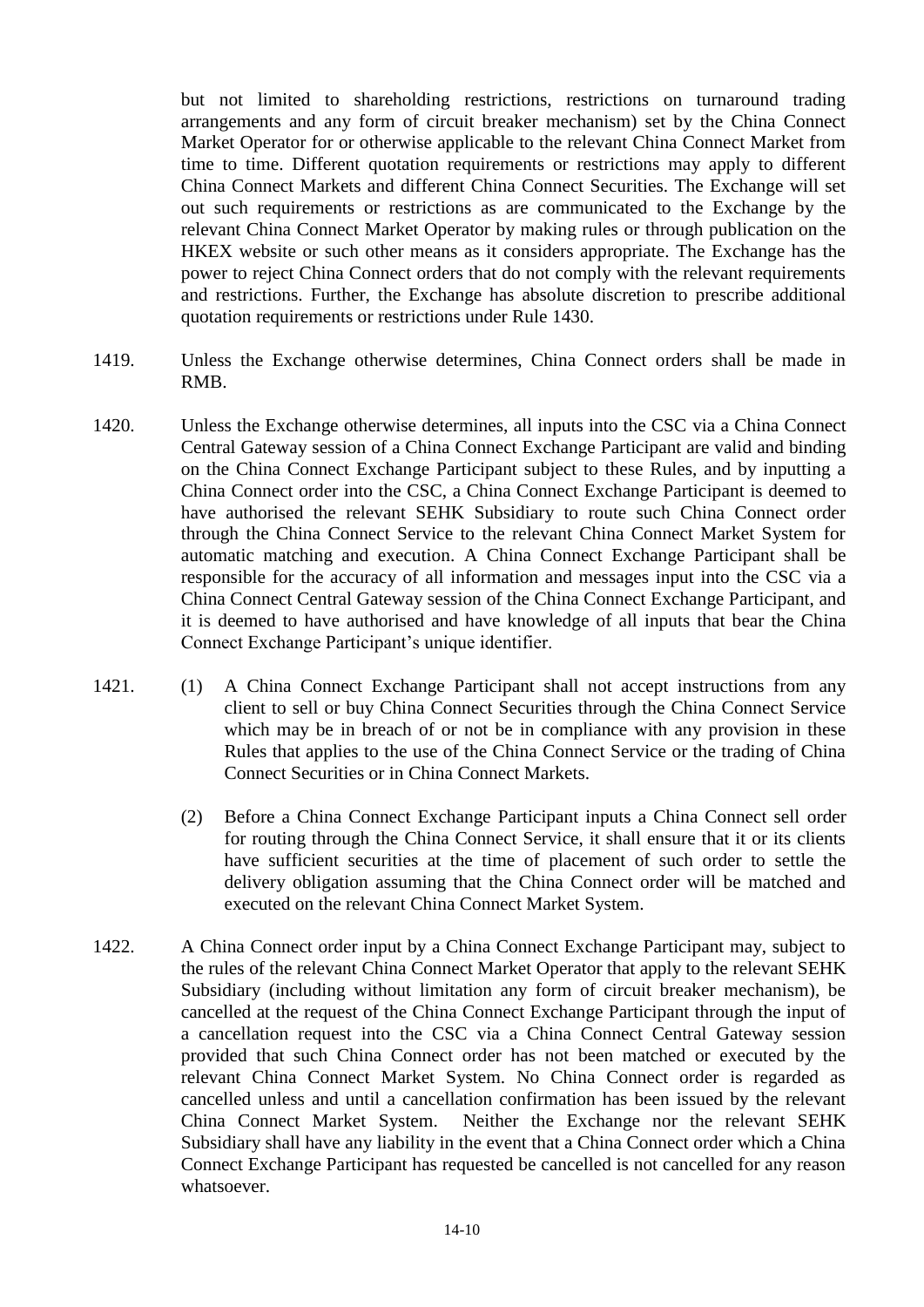but not limited to shareholding restrictions, restrictions on turnaround trading arrangements and any form of circuit breaker mechanism) set by the China Connect Market Operator for or otherwise applicable to the relevant China Connect Market from time to time. Different quotation requirements or restrictions may apply to different China Connect Markets and different China Connect Securities. The Exchange will set out such requirements or restrictions as are communicated to the Exchange by the relevant China Connect Market Operator by making rules or through publication on the HKEX website or such other means as it considers appropriate. The Exchange has the power to reject China Connect orders that do not comply with the relevant requirements and restrictions. Further, the Exchange has absolute discretion to prescribe additional quotation requirements or restrictions under Rule 1430.

- 1419. Unless the Exchange otherwise determines, China Connect orders shall be made in RMB.
- 1420. Unless the Exchange otherwise determines, all inputs into the CSC via a China Connect Central Gateway session of a China Connect Exchange Participant are valid and binding on the China Connect Exchange Participant subject to these Rules, and by inputting a China Connect order into the CSC, a China Connect Exchange Participant is deemed to have authorised the relevant SEHK Subsidiary to route such China Connect order through the China Connect Service to the relevant China Connect Market System for automatic matching and execution. A China Connect Exchange Participant shall be responsible for the accuracy of all information and messages input into the CSC via a China Connect Central Gateway session of the China Connect Exchange Participant, and it is deemed to have authorised and have knowledge of all inputs that bear the China Connect Exchange Participant's unique identifier.
- 1421. (1) A China Connect Exchange Participant shall not accept instructions from any client to sell or buy China Connect Securities through the China Connect Service which may be in breach of or not be in compliance with any provision in these Rules that applies to the use of the China Connect Service or the trading of China Connect Securities or in China Connect Markets.
	- (2) Before a China Connect Exchange Participant inputs a China Connect sell order for routing through the China Connect Service, it shall ensure that it or its clients have sufficient securities at the time of placement of such order to settle the delivery obligation assuming that the China Connect order will be matched and executed on the relevant China Connect Market System.
- 1422. A China Connect order input by a China Connect Exchange Participant may, subject to the rules of the relevant China Connect Market Operator that apply to the relevant SEHK Subsidiary (including without limitation any form of circuit breaker mechanism), be cancelled at the request of the China Connect Exchange Participant through the input of a cancellation request into the CSC via a China Connect Central Gateway session provided that such China Connect order has not been matched or executed by the relevant China Connect Market System. No China Connect order is regarded as cancelled unless and until a cancellation confirmation has been issued by the relevant China Connect Market System. Neither the Exchange nor the relevant SEHK Subsidiary shall have any liability in the event that a China Connect order which a China Connect Exchange Participant has requested be cancelled is not cancelled for any reason whatsoever.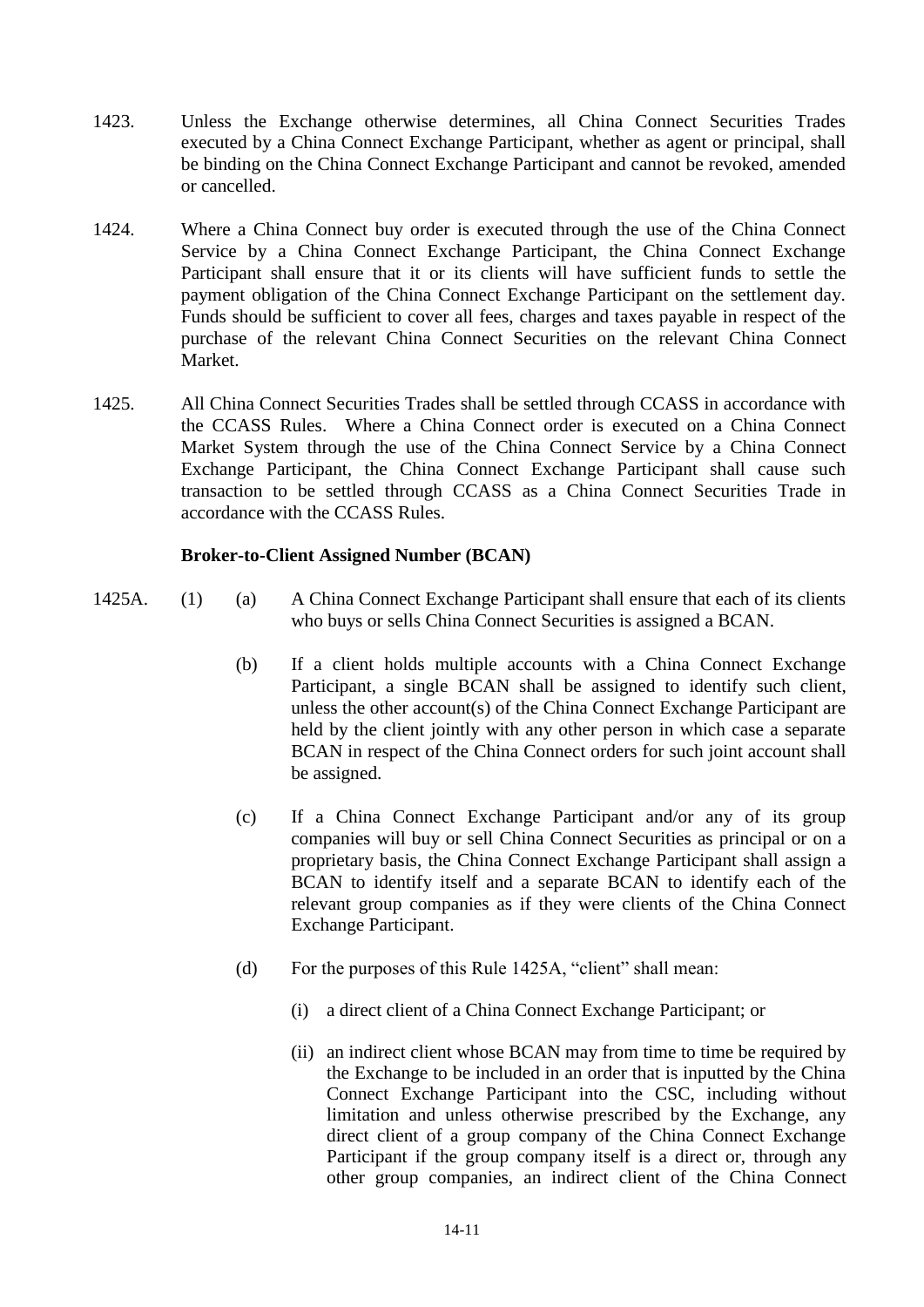- 1423. Unless the Exchange otherwise determines, all China Connect Securities Trades executed by a China Connect Exchange Participant, whether as agent or principal, shall be binding on the China Connect Exchange Participant and cannot be revoked, amended or cancelled.
- 1424. Where a China Connect buy order is executed through the use of the China Connect Service by a China Connect Exchange Participant, the China Connect Exchange Participant shall ensure that it or its clients will have sufficient funds to settle the payment obligation of the China Connect Exchange Participant on the settlement day. Funds should be sufficient to cover all fees, charges and taxes payable in respect of the purchase of the relevant China Connect Securities on the relevant China Connect Market.
- 1425. All China Connect Securities Trades shall be settled through CCASS in accordance with the CCASS Rules. Where a China Connect order is executed on a China Connect Market System through the use of the China Connect Service by a China Connect Exchange Participant, the China Connect Exchange Participant shall cause such transaction to be settled through CCASS as a China Connect Securities Trade in accordance with the CCASS Rules.

#### **Broker-to-Client Assigned Number (BCAN)**

- 1425A. (1) (a) A China Connect Exchange Participant shall ensure that each of its clients who buys or sells China Connect Securities is assigned a BCAN.
	- (b) If a client holds multiple accounts with a China Connect Exchange Participant, a single BCAN shall be assigned to identify such client, unless the other account(s) of the China Connect Exchange Participant are held by the client jointly with any other person in which case a separate BCAN in respect of the China Connect orders for such joint account shall be assigned.
	- (c) If a China Connect Exchange Participant and/or any of its group companies will buy or sell China Connect Securities as principal or on a proprietary basis, the China Connect Exchange Participant shall assign a BCAN to identify itself and a separate BCAN to identify each of the relevant group companies as if they were clients of the China Connect Exchange Participant.
	- (d) For the purposes of this Rule 1425A, "client" shall mean:
		- (i) a direct client of a China Connect Exchange Participant; or
		- (ii) an indirect client whose BCAN may from time to time be required by the Exchange to be included in an order that is inputted by the China Connect Exchange Participant into the CSC, including without limitation and unless otherwise prescribed by the Exchange, any direct client of a group company of the China Connect Exchange Participant if the group company itself is a direct or, through any other group companies, an indirect client of the China Connect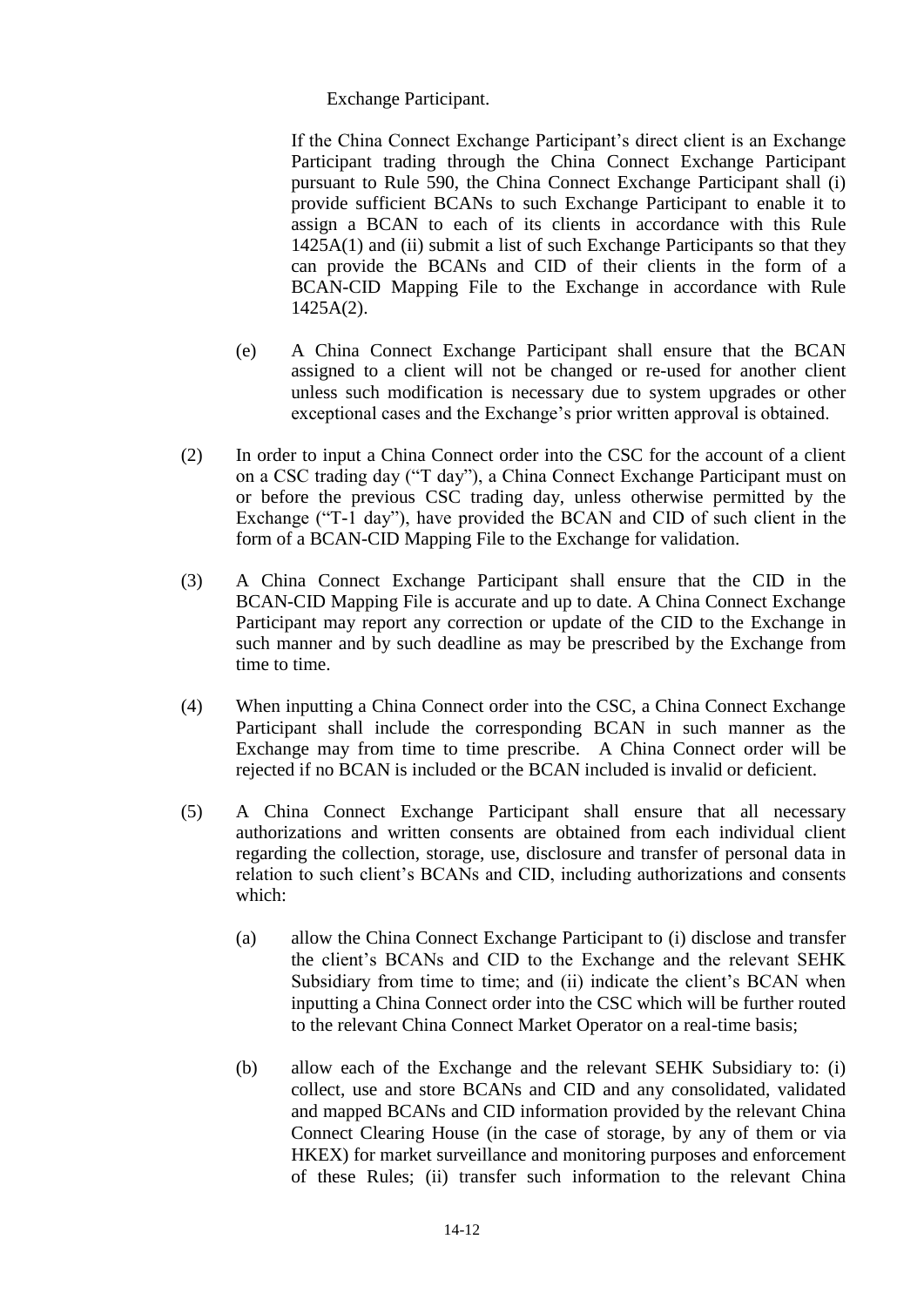Exchange Participant.

If the China Connect Exchange Participant's direct client is an Exchange Participant trading through the China Connect Exchange Participant pursuant to Rule 590, the China Connect Exchange Participant shall (i) provide sufficient BCANs to such Exchange Participant to enable it to assign a BCAN to each of its clients in accordance with this Rule 1425A(1) and (ii) submit a list of such Exchange Participants so that they can provide the BCANs and CID of their clients in the form of a BCAN-CID Mapping File to the Exchange in accordance with Rule 1425A(2).

- (e) A China Connect Exchange Participant shall ensure that the BCAN assigned to a client will not be changed or re-used for another client unless such modification is necessary due to system upgrades or other exceptional cases and the Exchange's prior written approval is obtained.
- (2) In order to input a China Connect order into the CSC for the account of a client on a CSC trading day ("T day"), a China Connect Exchange Participant must on or before the previous CSC trading day, unless otherwise permitted by the Exchange ("T-1 day"), have provided the BCAN and CID of such client in the form of a BCAN-CID Mapping File to the Exchange for validation.
- (3) A China Connect Exchange Participant shall ensure that the CID in the BCAN-CID Mapping File is accurate and up to date. A China Connect Exchange Participant may report any correction or update of the CID to the Exchange in such manner and by such deadline as may be prescribed by the Exchange from time to time.
- (4) When inputting a China Connect order into the CSC, a China Connect Exchange Participant shall include the corresponding BCAN in such manner as the Exchange may from time to time prescribe. A China Connect order will be rejected if no BCAN is included or the BCAN included is invalid or deficient.
- (5) A China Connect Exchange Participant shall ensure that all necessary authorizations and written consents are obtained from each individual client regarding the collection, storage, use, disclosure and transfer of personal data in relation to such client's BCANs and CID, including authorizations and consents which:
	- (a) allow the China Connect Exchange Participant to (i) disclose and transfer the client's BCANs and CID to the Exchange and the relevant SEHK Subsidiary from time to time; and (ii) indicate the client's BCAN when inputting a China Connect order into the CSC which will be further routed to the relevant China Connect Market Operator on a real-time basis;
	- (b) allow each of the Exchange and the relevant SEHK Subsidiary to: (i) collect, use and store BCANs and CID and any consolidated, validated and mapped BCANs and CID information provided by the relevant China Connect Clearing House (in the case of storage, by any of them or via HKEX) for market surveillance and monitoring purposes and enforcement of these Rules; (ii) transfer such information to the relevant China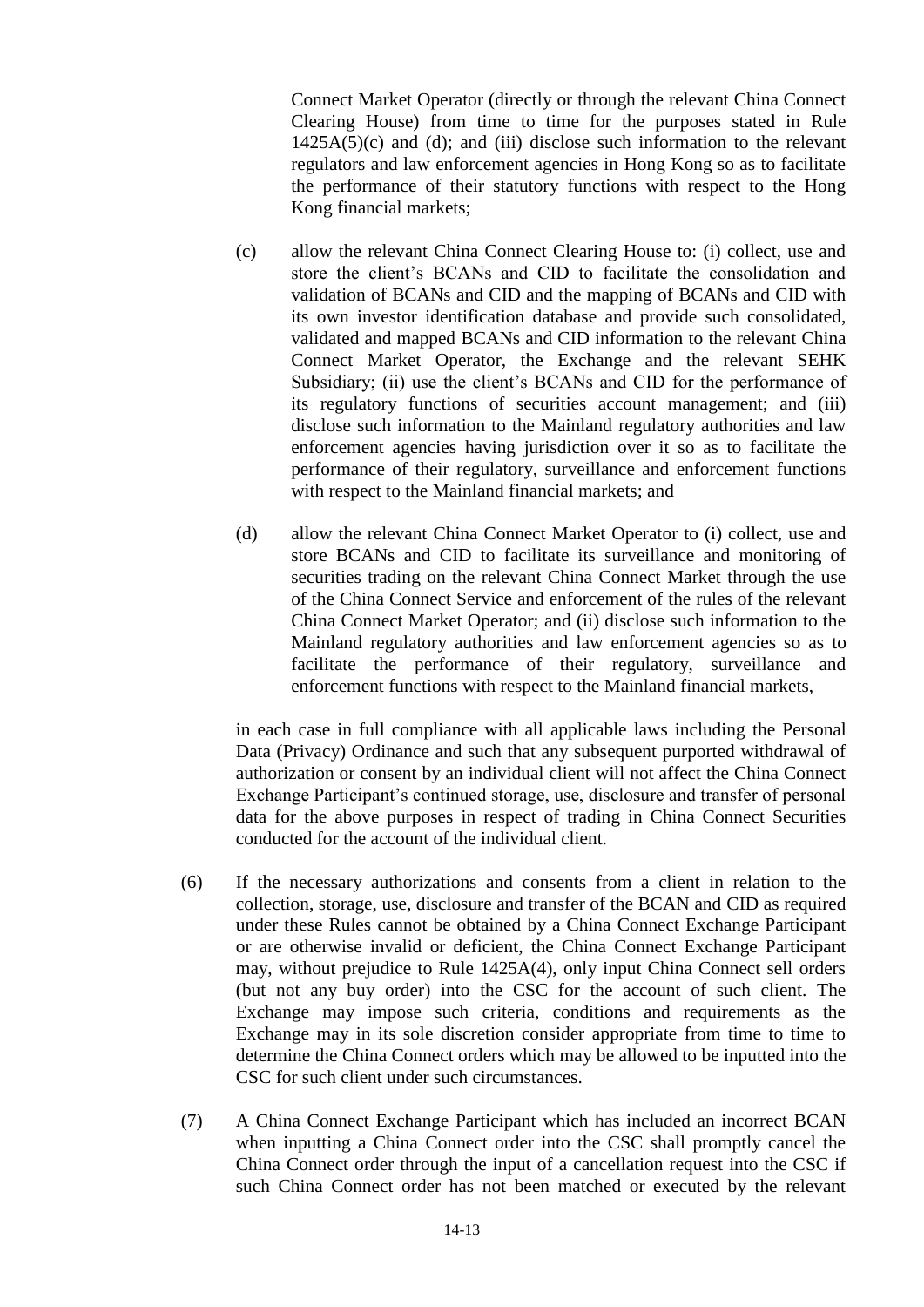Connect Market Operator (directly or through the relevant China Connect Clearing House) from time to time for the purposes stated in Rule  $1425A(5)(c)$  and (d); and (iii) disclose such information to the relevant regulators and law enforcement agencies in Hong Kong so as to facilitate the performance of their statutory functions with respect to the Hong Kong financial markets;

- (c) allow the relevant China Connect Clearing House to: (i) collect, use and store the client's BCANs and CID to facilitate the consolidation and validation of BCANs and CID and the mapping of BCANs and CID with its own investor identification database and provide such consolidated, validated and mapped BCANs and CID information to the relevant China Connect Market Operator, the Exchange and the relevant SEHK Subsidiary; (ii) use the client's BCANs and CID for the performance of its regulatory functions of securities account management; and (iii) disclose such information to the Mainland regulatory authorities and law enforcement agencies having jurisdiction over it so as to facilitate the performance of their regulatory, surveillance and enforcement functions with respect to the Mainland financial markets; and
- (d) allow the relevant China Connect Market Operator to (i) collect, use and store BCANs and CID to facilitate its surveillance and monitoring of securities trading on the relevant China Connect Market through the use of the China Connect Service and enforcement of the rules of the relevant China Connect Market Operator; and (ii) disclose such information to the Mainland regulatory authorities and law enforcement agencies so as to facilitate the performance of their regulatory, surveillance and enforcement functions with respect to the Mainland financial markets,

in each case in full compliance with all applicable laws including the Personal Data (Privacy) Ordinance and such that any subsequent purported withdrawal of authorization or consent by an individual client will not affect the China Connect Exchange Participant's continued storage, use, disclosure and transfer of personal data for the above purposes in respect of trading in China Connect Securities conducted for the account of the individual client.

- (6) If the necessary authorizations and consents from a client in relation to the collection, storage, use, disclosure and transfer of the BCAN and CID as required under these Rules cannot be obtained by a China Connect Exchange Participant or are otherwise invalid or deficient, the China Connect Exchange Participant may, without prejudice to Rule 1425A(4), only input China Connect sell orders (but not any buy order) into the CSC for the account of such client. The Exchange may impose such criteria, conditions and requirements as the Exchange may in its sole discretion consider appropriate from time to time to determine the China Connect orders which may be allowed to be inputted into the CSC for such client under such circumstances.
- (7) A China Connect Exchange Participant which has included an incorrect BCAN when inputting a China Connect order into the CSC shall promptly cancel the China Connect order through the input of a cancellation request into the CSC if such China Connect order has not been matched or executed by the relevant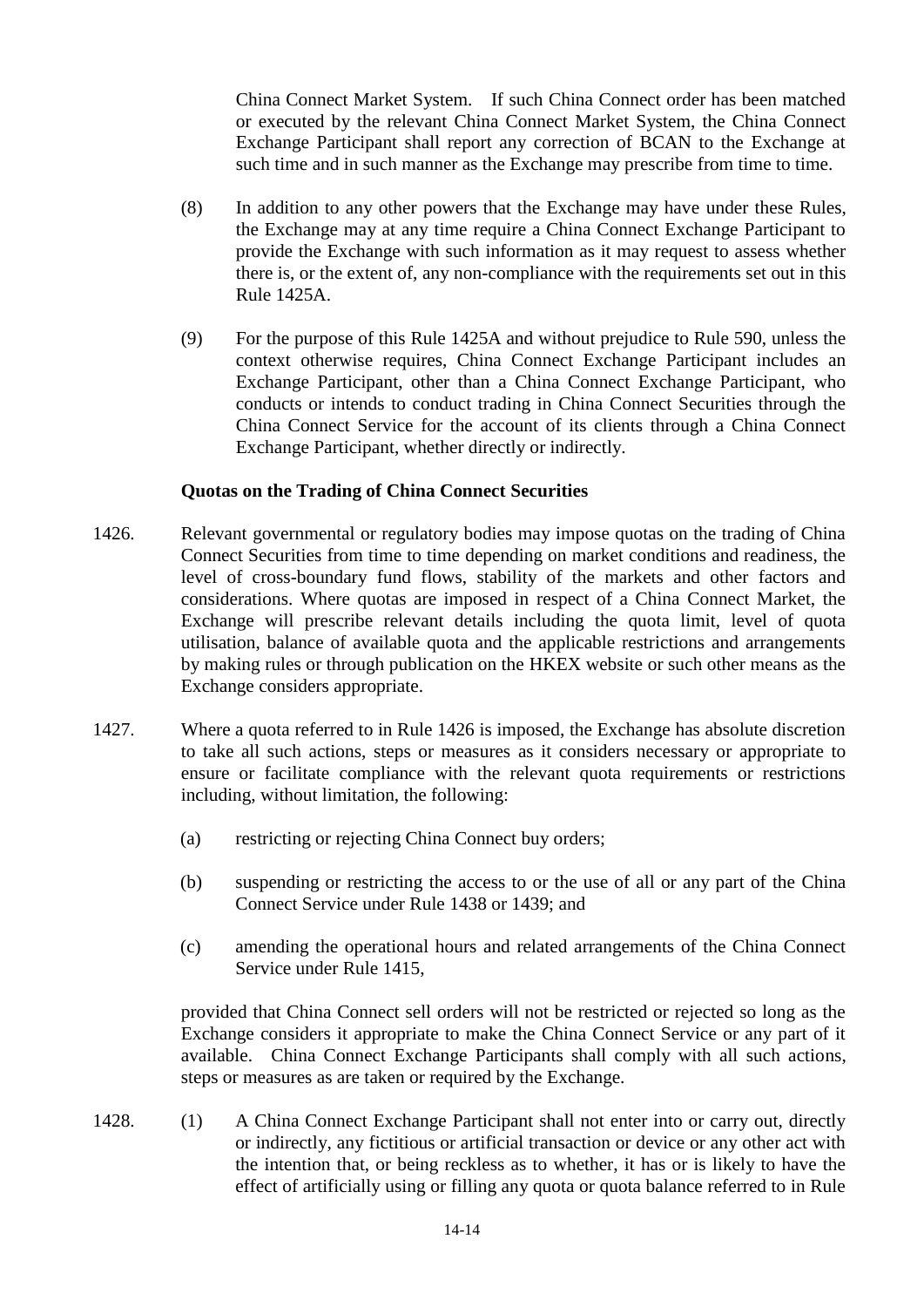China Connect Market System. If such China Connect order has been matched or executed by the relevant China Connect Market System, the China Connect Exchange Participant shall report any correction of BCAN to the Exchange at such time and in such manner as the Exchange may prescribe from time to time.

- (8) In addition to any other powers that the Exchange may have under these Rules, the Exchange may at any time require a China Connect Exchange Participant to provide the Exchange with such information as it may request to assess whether there is, or the extent of, any non-compliance with the requirements set out in this Rule 1425A.
- (9) For the purpose of this Rule 1425A and without prejudice to Rule 590, unless the context otherwise requires, China Connect Exchange Participant includes an Exchange Participant, other than a China Connect Exchange Participant, who conducts or intends to conduct trading in China Connect Securities through the China Connect Service for the account of its clients through a China Connect Exchange Participant, whether directly or indirectly.

## **Quotas on the Trading of China Connect Securities**

- 1426. Relevant governmental or regulatory bodies may impose quotas on the trading of China Connect Securities from time to time depending on market conditions and readiness, the level of cross-boundary fund flows, stability of the markets and other factors and considerations. Where quotas are imposed in respect of a China Connect Market, the Exchange will prescribe relevant details including the quota limit, level of quota utilisation, balance of available quota and the applicable restrictions and arrangements by making rules or through publication on the HKEX website or such other means as the Exchange considers appropriate.
- 1427. Where a quota referred to in Rule 1426 is imposed, the Exchange has absolute discretion to take all such actions, steps or measures as it considers necessary or appropriate to ensure or facilitate compliance with the relevant quota requirements or restrictions including, without limitation, the following:
	- (a) restricting or rejecting China Connect buy orders;
	- (b) suspending or restricting the access to or the use of all or any part of the China Connect Service under Rule 1438 or 1439; and
	- (c) amending the operational hours and related arrangements of the China Connect Service under Rule 1415,

provided that China Connect sell orders will not be restricted or rejected so long as the Exchange considers it appropriate to make the China Connect Service or any part of it available. China Connect Exchange Participants shall comply with all such actions, steps or measures as are taken or required by the Exchange.

1428. (1) A China Connect Exchange Participant shall not enter into or carry out, directly or indirectly, any fictitious or artificial transaction or device or any other act with the intention that, or being reckless as to whether, it has or is likely to have the effect of artificially using or filling any quota or quota balance referred to in Rule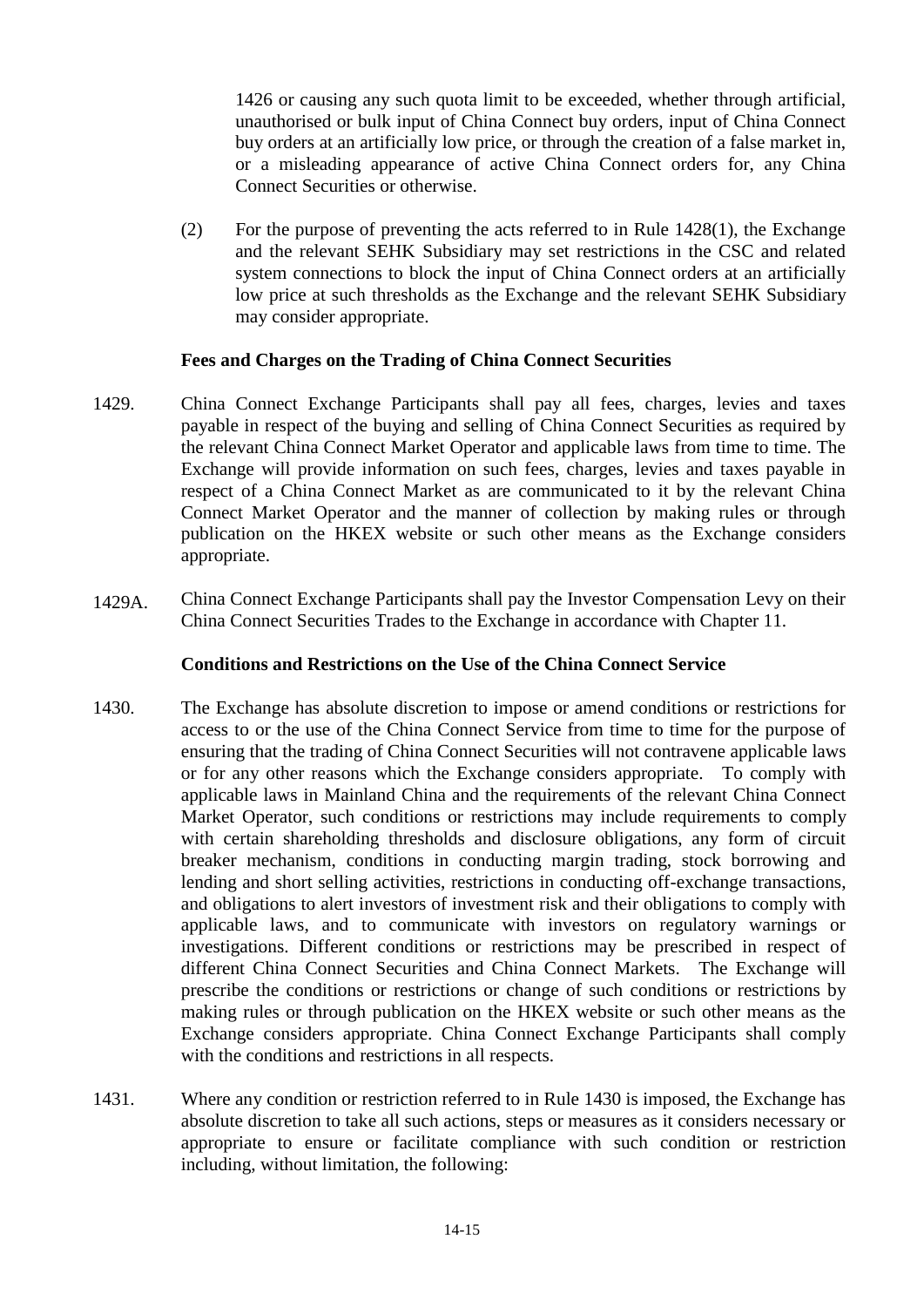1426 or causing any such quota limit to be exceeded, whether through artificial, unauthorised or bulk input of China Connect buy orders, input of China Connect buy orders at an artificially low price, or through the creation of a false market in, or a misleading appearance of active China Connect orders for, any China Connect Securities or otherwise.

(2) For the purpose of preventing the acts referred to in Rule 1428(1), the Exchange and the relevant SEHK Subsidiary may set restrictions in the CSC and related system connections to block the input of China Connect orders at an artificially low price at such thresholds as the Exchange and the relevant SEHK Subsidiary may consider appropriate.

## **Fees and Charges on the Trading of China Connect Securities**

- 1429. China Connect Exchange Participants shall pay all fees, charges, levies and taxes payable in respect of the buying and selling of China Connect Securities as required by the relevant China Connect Market Operator and applicable laws from time to time. The Exchange will provide information on such fees, charges, levies and taxes payable in respect of a China Connect Market as are communicated to it by the relevant China Connect Market Operator and the manner of collection by making rules or through publication on the HKEX website or such other means as the Exchange considers appropriate.
- 1429A. China Connect Exchange Participants shall pay the Investor Compensation Levy on their China Connect Securities Trades to the Exchange in accordance with Chapter 11.

# **Conditions and Restrictions on the Use of the China Connect Service**

- 1430. The Exchange has absolute discretion to impose or amend conditions or restrictions for access to or the use of the China Connect Service from time to time for the purpose of ensuring that the trading of China Connect Securities will not contravene applicable laws or for any other reasons which the Exchange considers appropriate. To comply with applicable laws in Mainland China and the requirements of the relevant China Connect Market Operator, such conditions or restrictions may include requirements to comply with certain shareholding thresholds and disclosure obligations, any form of circuit breaker mechanism, conditions in conducting margin trading, stock borrowing and lending and short selling activities, restrictions in conducting off-exchange transactions, and obligations to alert investors of investment risk and their obligations to comply with applicable laws, and to communicate with investors on regulatory warnings or investigations. Different conditions or restrictions may be prescribed in respect of different China Connect Securities and China Connect Markets. The Exchange will prescribe the conditions or restrictions or change of such conditions or restrictions by making rules or through publication on the HKEX website or such other means as the Exchange considers appropriate. China Connect Exchange Participants shall comply with the conditions and restrictions in all respects.
- 1431. Where any condition or restriction referred to in Rule 1430 is imposed, the Exchange has absolute discretion to take all such actions, steps or measures as it considers necessary or appropriate to ensure or facilitate compliance with such condition or restriction including, without limitation, the following: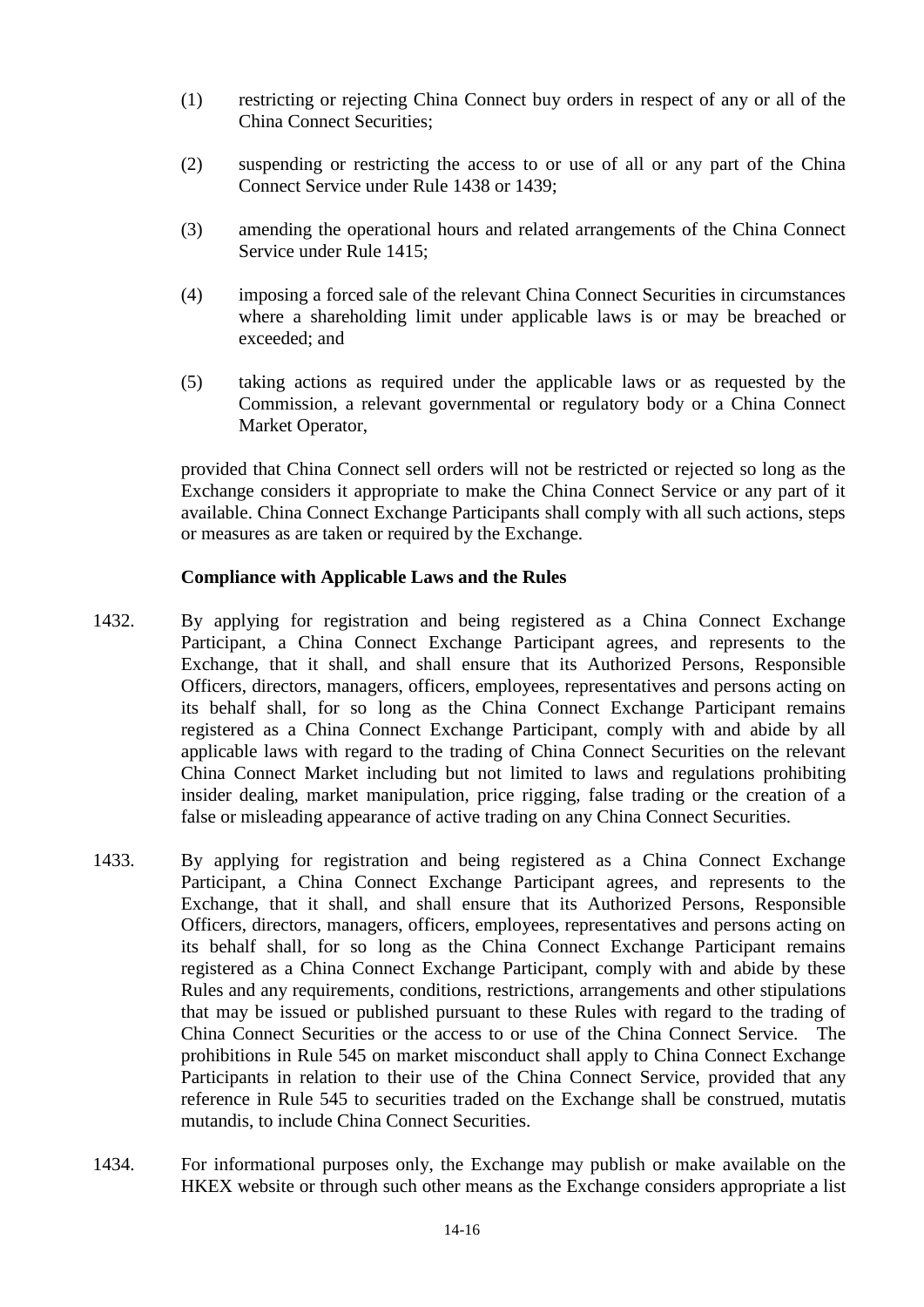- (1) restricting or rejecting China Connect buy orders in respect of any or all of the China Connect Securities;
- (2) suspending or restricting the access to or use of all or any part of the China Connect Service under Rule 1438 or 1439;
- (3) amending the operational hours and related arrangements of the China Connect Service under Rule 1415;
- (4) imposing a forced sale of the relevant China Connect Securities in circumstances where a shareholding limit under applicable laws is or may be breached or exceeded; and
- (5) taking actions as required under the applicable laws or as requested by the Commission, a relevant governmental or regulatory body or a China Connect Market Operator,

provided that China Connect sell orders will not be restricted or rejected so long as the Exchange considers it appropriate to make the China Connect Service or any part of it available. China Connect Exchange Participants shall comply with all such actions, steps or measures as are taken or required by the Exchange.

## **Compliance with Applicable Laws and the Rules**

- 1432. By applying for registration and being registered as a China Connect Exchange Participant, a China Connect Exchange Participant agrees, and represents to the Exchange, that it shall, and shall ensure that its Authorized Persons, Responsible Officers, directors, managers, officers, employees, representatives and persons acting on its behalf shall, for so long as the China Connect Exchange Participant remains registered as a China Connect Exchange Participant, comply with and abide by all applicable laws with regard to the trading of China Connect Securities on the relevant China Connect Market including but not limited to laws and regulations prohibiting insider dealing, market manipulation, price rigging, false trading or the creation of a false or misleading appearance of active trading on any China Connect Securities.
- 1433. By applying for registration and being registered as a China Connect Exchange Participant, a China Connect Exchange Participant agrees, and represents to the Exchange, that it shall, and shall ensure that its Authorized Persons, Responsible Officers, directors, managers, officers, employees, representatives and persons acting on its behalf shall, for so long as the China Connect Exchange Participant remains registered as a China Connect Exchange Participant, comply with and abide by these Rules and any requirements, conditions, restrictions, arrangements and other stipulations that may be issued or published pursuant to these Rules with regard to the trading of China Connect Securities or the access to or use of the China Connect Service. The prohibitions in Rule 545 on market misconduct shall apply to China Connect Exchange Participants in relation to their use of the China Connect Service, provided that any reference in Rule 545 to securities traded on the Exchange shall be construed, mutatis mutandis, to include China Connect Securities.
- 1434. For informational purposes only, the Exchange may publish or make available on the HKEX website or through such other means as the Exchange considers appropriate a list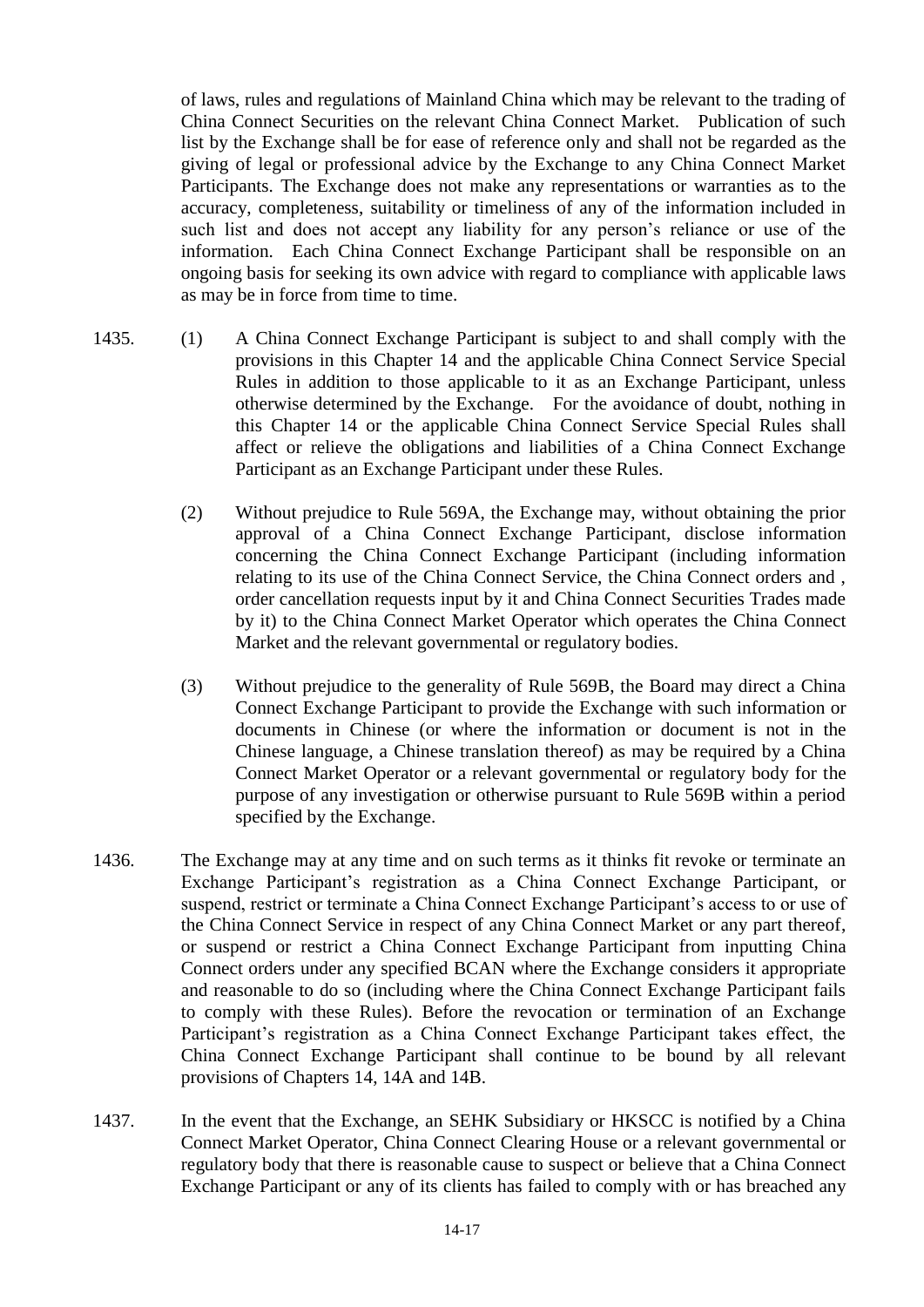of laws, rules and regulations of Mainland China which may be relevant to the trading of China Connect Securities on the relevant China Connect Market. Publication of such list by the Exchange shall be for ease of reference only and shall not be regarded as the giving of legal or professional advice by the Exchange to any China Connect Market Participants. The Exchange does not make any representations or warranties as to the accuracy, completeness, suitability or timeliness of any of the information included in such list and does not accept any liability for any person's reliance or use of the information. Each China Connect Exchange Participant shall be responsible on an ongoing basis for seeking its own advice with regard to compliance with applicable laws as may be in force from time to time.

- 1435. (1) A China Connect Exchange Participant is subject to and shall comply with the provisions in this Chapter 14 and the applicable China Connect Service Special Rules in addition to those applicable to it as an Exchange Participant, unless otherwise determined by the Exchange. For the avoidance of doubt, nothing in this Chapter 14 or the applicable China Connect Service Special Rules shall affect or relieve the obligations and liabilities of a China Connect Exchange Participant as an Exchange Participant under these Rules.
	- (2) Without prejudice to Rule 569A, the Exchange may, without obtaining the prior approval of a China Connect Exchange Participant, disclose information concerning the China Connect Exchange Participant (including information relating to its use of the China Connect Service, the China Connect orders and , order cancellation requests input by it and China Connect Securities Trades made by it) to the China Connect Market Operator which operates the China Connect Market and the relevant governmental or regulatory bodies.
	- (3) Without prejudice to the generality of Rule 569B, the Board may direct a China Connect Exchange Participant to provide the Exchange with such information or documents in Chinese (or where the information or document is not in the Chinese language, a Chinese translation thereof) as may be required by a China Connect Market Operator or a relevant governmental or regulatory body for the purpose of any investigation or otherwise pursuant to Rule 569B within a period specified by the Exchange.
- 1436. The Exchange may at any time and on such terms as it thinks fit revoke or terminate an Exchange Participant's registration as a China Connect Exchange Participant, or suspend, restrict or terminate a China Connect Exchange Participant's access to or use of the China Connect Service in respect of any China Connect Market or any part thereof, or suspend or restrict a China Connect Exchange Participant from inputting China Connect orders under any specified BCAN where the Exchange considers it appropriate and reasonable to do so (including where the China Connect Exchange Participant fails to comply with these Rules). Before the revocation or termination of an Exchange Participant's registration as a China Connect Exchange Participant takes effect, the China Connect Exchange Participant shall continue to be bound by all relevant provisions of Chapters 14, 14A and 14B.
- 1437. In the event that the Exchange, an SEHK Subsidiary or HKSCC is notified by a China Connect Market Operator, China Connect Clearing House or a relevant governmental or regulatory body that there is reasonable cause to suspect or believe that a China Connect Exchange Participant or any of its clients has failed to comply with or has breached any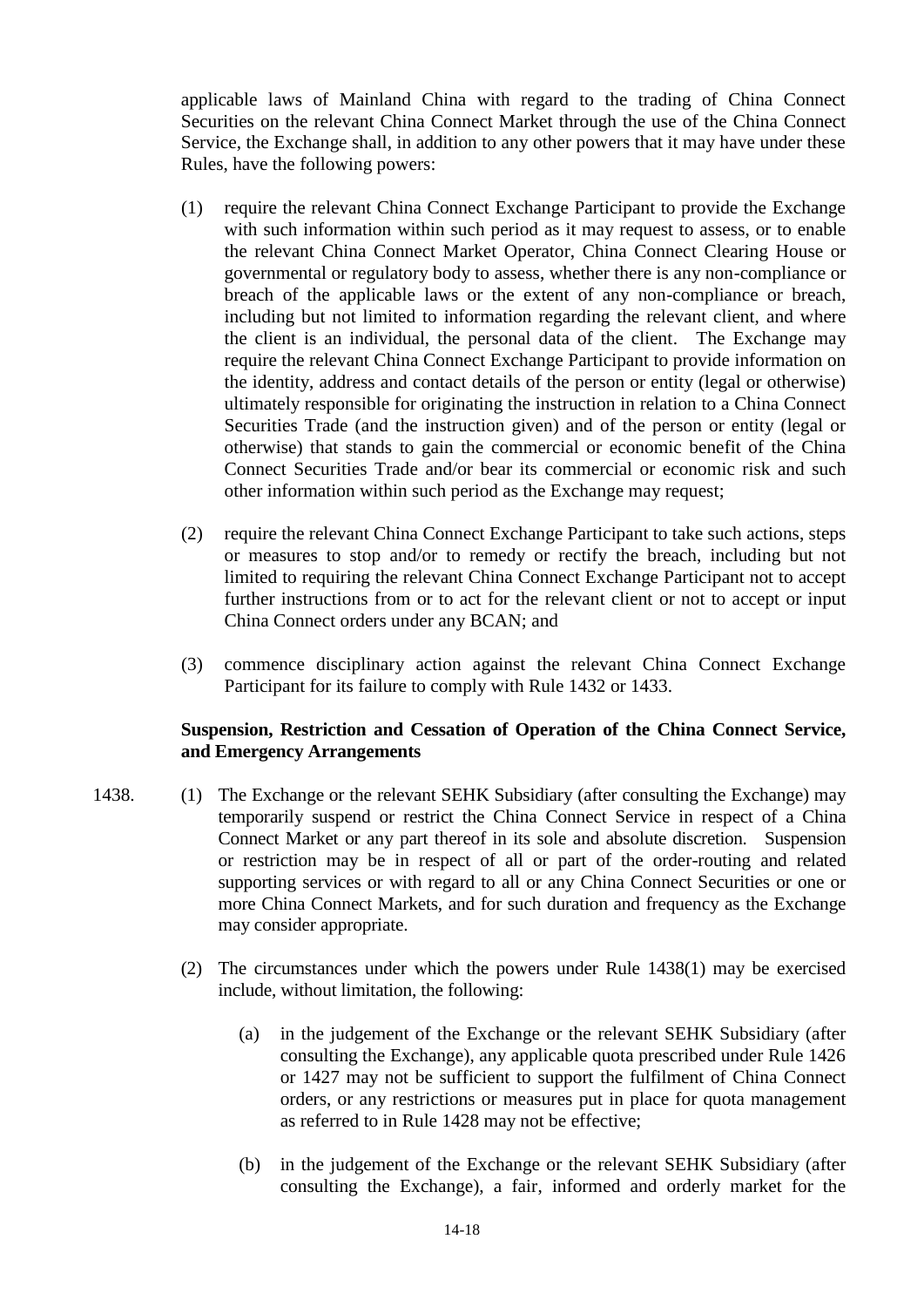applicable laws of Mainland China with regard to the trading of China Connect Securities on the relevant China Connect Market through the use of the China Connect Service, the Exchange shall, in addition to any other powers that it may have under these Rules, have the following powers:

- (1) require the relevant China Connect Exchange Participant to provide the Exchange with such information within such period as it may request to assess, or to enable the relevant China Connect Market Operator, China Connect Clearing House or governmental or regulatory body to assess, whether there is any non-compliance or breach of the applicable laws or the extent of any non-compliance or breach, including but not limited to information regarding the relevant client, and where the client is an individual, the personal data of the client. The Exchange may require the relevant China Connect Exchange Participant to provide information on the identity, address and contact details of the person or entity (legal or otherwise) ultimately responsible for originating the instruction in relation to a China Connect Securities Trade (and the instruction given) and of the person or entity (legal or otherwise) that stands to gain the commercial or economic benefit of the China Connect Securities Trade and/or bear its commercial or economic risk and such other information within such period as the Exchange may request;
- (2) require the relevant China Connect Exchange Participant to take such actions, steps or measures to stop and/or to remedy or rectify the breach, including but not limited to requiring the relevant China Connect Exchange Participant not to accept further instructions from or to act for the relevant client or not to accept or input China Connect orders under any BCAN; and
- (3) commence disciplinary action against the relevant China Connect Exchange Participant for its failure to comply with Rule 1432 or 1433.

## **Suspension, Restriction and Cessation of Operation of the China Connect Service, and Emergency Arrangements**

- 1438. (1) The Exchange or the relevant SEHK Subsidiary (after consulting the Exchange) may temporarily suspend or restrict the China Connect Service in respect of a China Connect Market or any part thereof in its sole and absolute discretion. Suspension or restriction may be in respect of all or part of the order-routing and related supporting services or with regard to all or any China Connect Securities or one or more China Connect Markets, and for such duration and frequency as the Exchange may consider appropriate.
	- (2) The circumstances under which the powers under Rule 1438(1) may be exercised include, without limitation, the following:
		- (a) in the judgement of the Exchange or the relevant SEHK Subsidiary (after consulting the Exchange), any applicable quota prescribed under Rule 1426 or 1427 may not be sufficient to support the fulfilment of China Connect orders, or any restrictions or measures put in place for quota management as referred to in Rule 1428 may not be effective;
		- (b) in the judgement of the Exchange or the relevant SEHK Subsidiary (after consulting the Exchange), a fair, informed and orderly market for the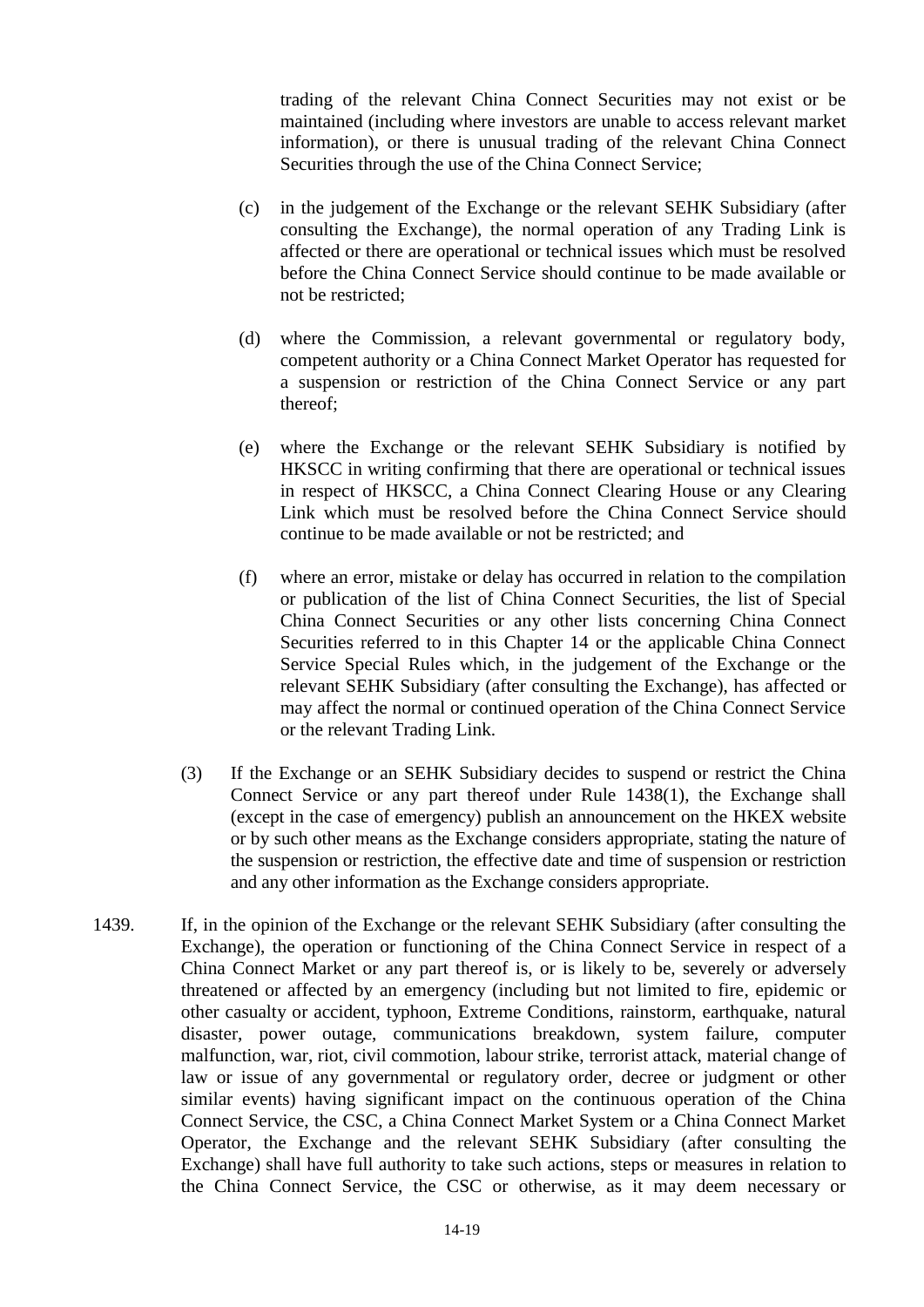trading of the relevant China Connect Securities may not exist or be maintained (including where investors are unable to access relevant market information), or there is unusual trading of the relevant China Connect Securities through the use of the China Connect Service;

- (c) in the judgement of the Exchange or the relevant SEHK Subsidiary (after consulting the Exchange), the normal operation of any Trading Link is affected or there are operational or technical issues which must be resolved before the China Connect Service should continue to be made available or not be restricted;
- (d) where the Commission, a relevant governmental or regulatory body, competent authority or a China Connect Market Operator has requested for a suspension or restriction of the China Connect Service or any part thereof;
- (e) where the Exchange or the relevant SEHK Subsidiary is notified by HKSCC in writing confirming that there are operational or technical issues in respect of HKSCC, a China Connect Clearing House or any Clearing Link which must be resolved before the China Connect Service should continue to be made available or not be restricted; and
- (f) where an error, mistake or delay has occurred in relation to the compilation or publication of the list of China Connect Securities, the list of Special China Connect Securities or any other lists concerning China Connect Securities referred to in this Chapter 14 or the applicable China Connect Service Special Rules which, in the judgement of the Exchange or the relevant SEHK Subsidiary (after consulting the Exchange), has affected or may affect the normal or continued operation of the China Connect Service or the relevant Trading Link.
- (3) If the Exchange or an SEHK Subsidiary decides to suspend or restrict the China Connect Service or any part thereof under Rule 1438(1), the Exchange shall (except in the case of emergency) publish an announcement on the HKEX website or by such other means as the Exchange considers appropriate, stating the nature of the suspension or restriction, the effective date and time of suspension or restriction and any other information as the Exchange considers appropriate.
- 1439. If, in the opinion of the Exchange or the relevant SEHK Subsidiary (after consulting the Exchange), the operation or functioning of the China Connect Service in respect of a China Connect Market or any part thereof is, or is likely to be, severely or adversely threatened or affected by an emergency (including but not limited to fire, epidemic or other casualty or accident, typhoon, Extreme Conditions, rainstorm, earthquake, natural disaster, power outage, communications breakdown, system failure, computer malfunction, war, riot, civil commotion, labour strike, terrorist attack, material change of law or issue of any governmental or regulatory order, decree or judgment or other similar events) having significant impact on the continuous operation of the China Connect Service, the CSC, a China Connect Market System or a China Connect Market Operator, the Exchange and the relevant SEHK Subsidiary (after consulting the Exchange) shall have full authority to take such actions, steps or measures in relation to the China Connect Service, the CSC or otherwise, as it may deem necessary or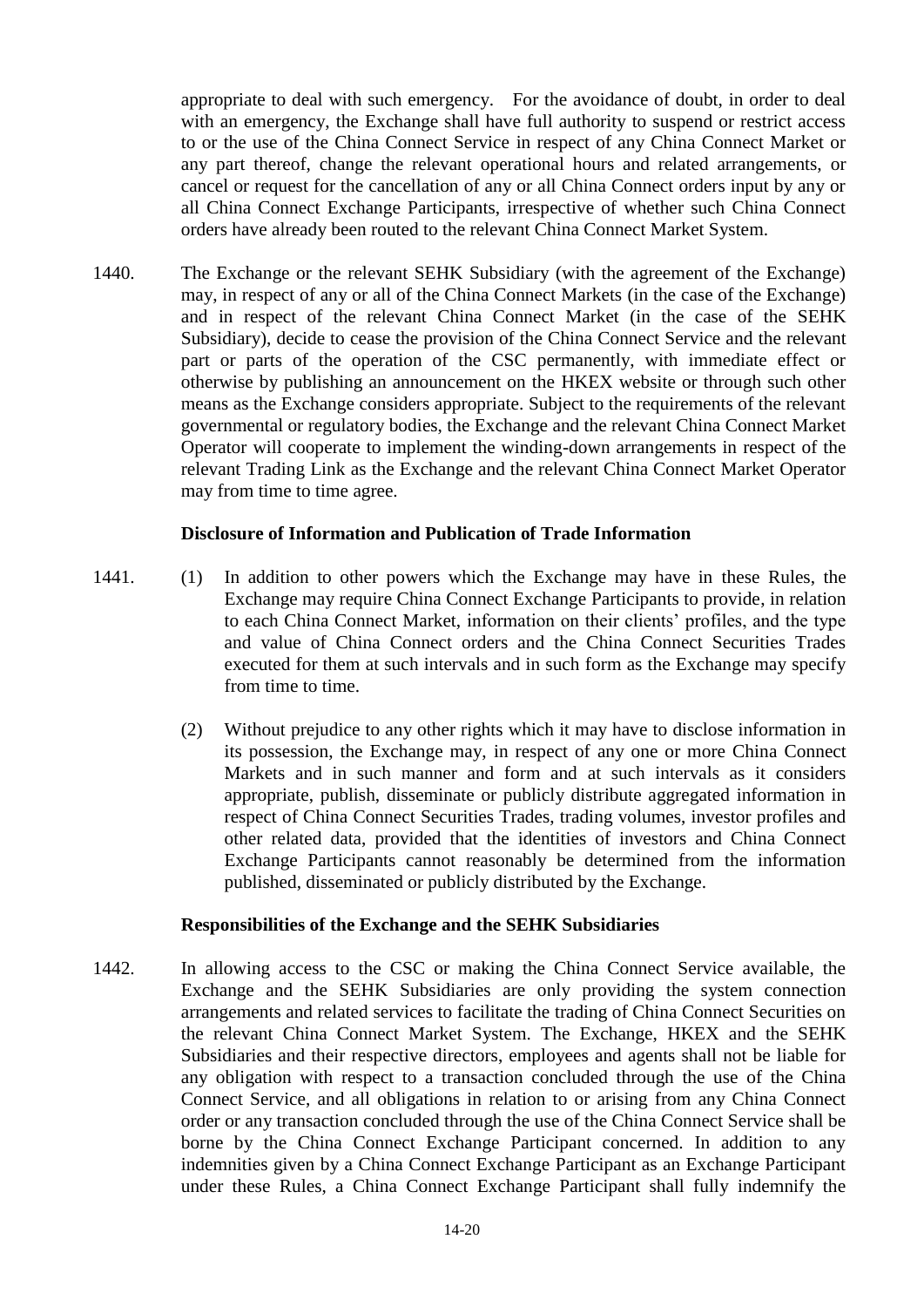appropriate to deal with such emergency. For the avoidance of doubt, in order to deal with an emergency, the Exchange shall have full authority to suspend or restrict access to or the use of the China Connect Service in respect of any China Connect Market or any part thereof, change the relevant operational hours and related arrangements, or cancel or request for the cancellation of any or all China Connect orders input by any or all China Connect Exchange Participants, irrespective of whether such China Connect orders have already been routed to the relevant China Connect Market System.

1440. The Exchange or the relevant SEHK Subsidiary (with the agreement of the Exchange) may, in respect of any or all of the China Connect Markets (in the case of the Exchange) and in respect of the relevant China Connect Market (in the case of the SEHK Subsidiary), decide to cease the provision of the China Connect Service and the relevant part or parts of the operation of the CSC permanently, with immediate effect or otherwise by publishing an announcement on the HKEX website or through such other means as the Exchange considers appropriate. Subject to the requirements of the relevant governmental or regulatory bodies, the Exchange and the relevant China Connect Market Operator will cooperate to implement the winding-down arrangements in respect of the relevant Trading Link as the Exchange and the relevant China Connect Market Operator may from time to time agree.

#### **Disclosure of Information and Publication of Trade Information**

- 1441. (1) In addition to other powers which the Exchange may have in these Rules, the Exchange may require China Connect Exchange Participants to provide, in relation to each China Connect Market, information on their clients' profiles, and the type and value of China Connect orders and the China Connect Securities Trades executed for them at such intervals and in such form as the Exchange may specify from time to time.
	- (2) Without prejudice to any other rights which it may have to disclose information in its possession, the Exchange may, in respect of any one or more China Connect Markets and in such manner and form and at such intervals as it considers appropriate, publish, disseminate or publicly distribute aggregated information in respect of China Connect Securities Trades, trading volumes, investor profiles and other related data, provided that the identities of investors and China Connect Exchange Participants cannot reasonably be determined from the information published, disseminated or publicly distributed by the Exchange.

#### **Responsibilities of the Exchange and the SEHK Subsidiaries**

1442. In allowing access to the CSC or making the China Connect Service available, the Exchange and the SEHK Subsidiaries are only providing the system connection arrangements and related services to facilitate the trading of China Connect Securities on the relevant China Connect Market System. The Exchange, HKEX and the SEHK Subsidiaries and their respective directors, employees and agents shall not be liable for any obligation with respect to a transaction concluded through the use of the China Connect Service, and all obligations in relation to or arising from any China Connect order or any transaction concluded through the use of the China Connect Service shall be borne by the China Connect Exchange Participant concerned. In addition to any indemnities given by a China Connect Exchange Participant as an Exchange Participant under these Rules, a China Connect Exchange Participant shall fully indemnify the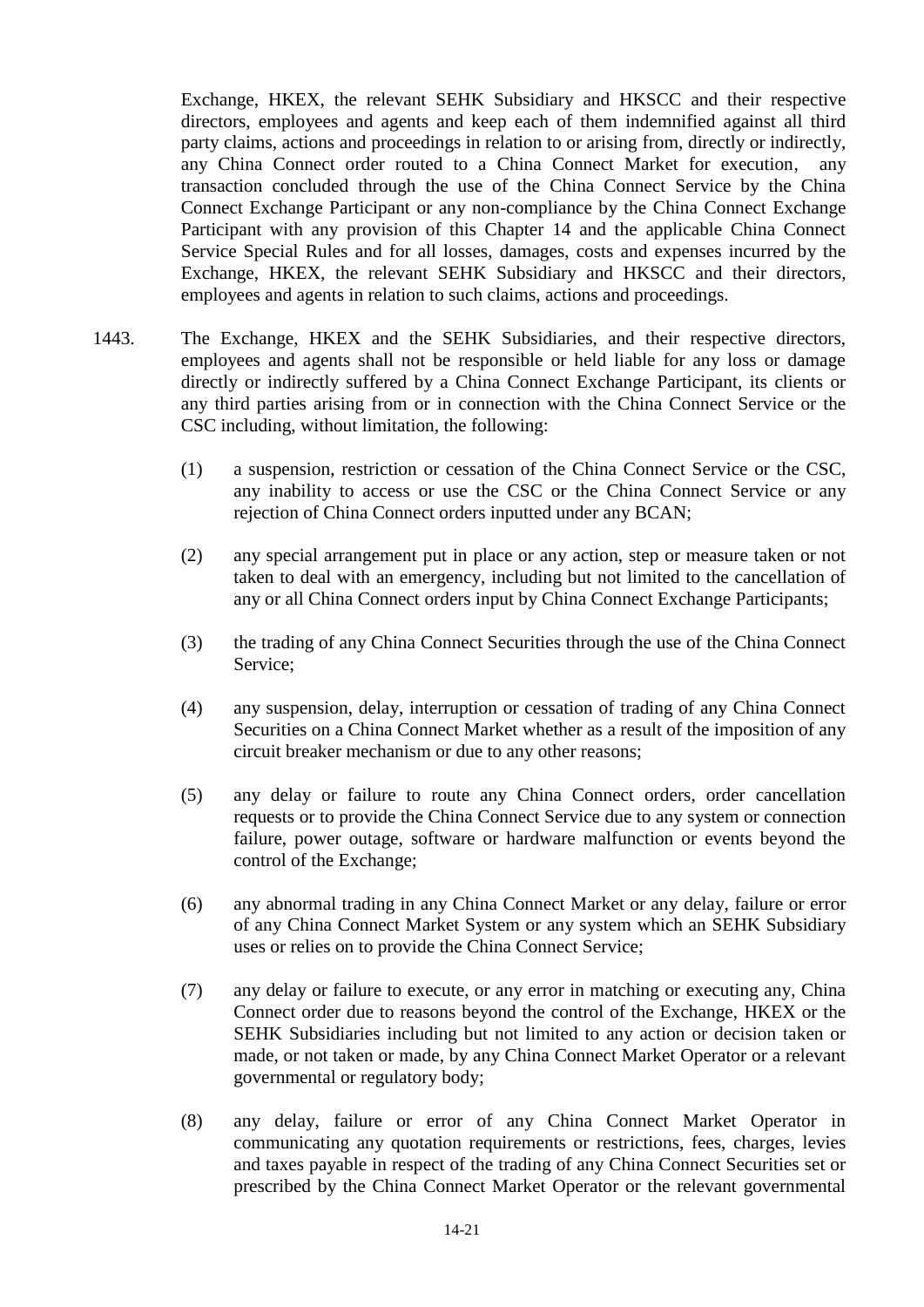Exchange, HKEX, the relevant SEHK Subsidiary and HKSCC and their respective directors, employees and agents and keep each of them indemnified against all third party claims, actions and proceedings in relation to or arising from, directly or indirectly, any China Connect order routed to a China Connect Market for execution, any transaction concluded through the use of the China Connect Service by the China Connect Exchange Participant or any non-compliance by the China Connect Exchange Participant with any provision of this Chapter 14 and the applicable China Connect Service Special Rules and for all losses, damages, costs and expenses incurred by the Exchange, HKEX, the relevant SEHK Subsidiary and HKSCC and their directors, employees and agents in relation to such claims, actions and proceedings.

- 1443. The Exchange, HKEX and the SEHK Subsidiaries, and their respective directors, employees and agents shall not be responsible or held liable for any loss or damage directly or indirectly suffered by a China Connect Exchange Participant, its clients or any third parties arising from or in connection with the China Connect Service or the CSC including, without limitation, the following:
	- (1) a suspension, restriction or cessation of the China Connect Service or the CSC, any inability to access or use the CSC or the China Connect Service or any rejection of China Connect orders inputted under any BCAN;
	- (2) any special arrangement put in place or any action, step or measure taken or not taken to deal with an emergency, including but not limited to the cancellation of any or all China Connect orders input by China Connect Exchange Participants;
	- (3) the trading of any China Connect Securities through the use of the China Connect Service;
	- (4) any suspension, delay, interruption or cessation of trading of any China Connect Securities on a China Connect Market whether as a result of the imposition of any circuit breaker mechanism or due to any other reasons;
	- (5) any delay or failure to route any China Connect orders, order cancellation requests or to provide the China Connect Service due to any system or connection failure, power outage, software or hardware malfunction or events beyond the control of the Exchange;
	- (6) any abnormal trading in any China Connect Market or any delay, failure or error of any China Connect Market System or any system which an SEHK Subsidiary uses or relies on to provide the China Connect Service;
	- (7) any delay or failure to execute, or any error in matching or executing any, China Connect order due to reasons beyond the control of the Exchange, HKEX or the SEHK Subsidiaries including but not limited to any action or decision taken or made, or not taken or made, by any China Connect Market Operator or a relevant governmental or regulatory body;
	- (8) any delay, failure or error of any China Connect Market Operator in communicating any quotation requirements or restrictions, fees, charges, levies and taxes payable in respect of the trading of any China Connect Securities set or prescribed by the China Connect Market Operator or the relevant governmental